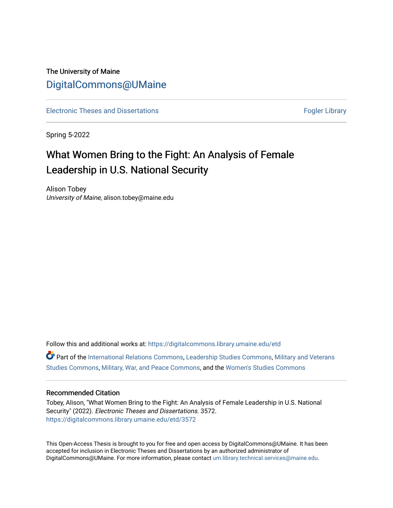# The University of Maine [DigitalCommons@UMaine](https://digitalcommons.library.umaine.edu/)

[Electronic Theses and Dissertations](https://digitalcommons.library.umaine.edu/etd) **Fogler Library** Fogler Library

Spring 5-2022

# What Women Bring to the Fight: An Analysis of Female Leadership in U.S. National Security

Alison Tobey University of Maine, alison.tobey@maine.edu

Follow this and additional works at: [https://digitalcommons.library.umaine.edu/etd](https://digitalcommons.library.umaine.edu/etd?utm_source=digitalcommons.library.umaine.edu%2Fetd%2F3572&utm_medium=PDF&utm_campaign=PDFCoverPages)  Part of the [International Relations Commons,](https://network.bepress.com/hgg/discipline/389?utm_source=digitalcommons.library.umaine.edu%2Fetd%2F3572&utm_medium=PDF&utm_campaign=PDFCoverPages) [Leadership Studies Commons,](https://network.bepress.com/hgg/discipline/1250?utm_source=digitalcommons.library.umaine.edu%2Fetd%2F3572&utm_medium=PDF&utm_campaign=PDFCoverPages) [Military and Veterans](https://network.bepress.com/hgg/discipline/396?utm_source=digitalcommons.library.umaine.edu%2Fetd%2F3572&utm_medium=PDF&utm_campaign=PDFCoverPages)  [Studies Commons,](https://network.bepress.com/hgg/discipline/396?utm_source=digitalcommons.library.umaine.edu%2Fetd%2F3572&utm_medium=PDF&utm_campaign=PDFCoverPages) [Military, War, and Peace Commons,](https://network.bepress.com/hgg/discipline/861?utm_source=digitalcommons.library.umaine.edu%2Fetd%2F3572&utm_medium=PDF&utm_campaign=PDFCoverPages) and the [Women's Studies Commons](https://network.bepress.com/hgg/discipline/561?utm_source=digitalcommons.library.umaine.edu%2Fetd%2F3572&utm_medium=PDF&utm_campaign=PDFCoverPages) 

#### Recommended Citation

Tobey, Alison, "What Women Bring to the Fight: An Analysis of Female Leadership in U.S. National Security" (2022). Electronic Theses and Dissertations. 3572. [https://digitalcommons.library.umaine.edu/etd/3572](https://digitalcommons.library.umaine.edu/etd/3572?utm_source=digitalcommons.library.umaine.edu%2Fetd%2F3572&utm_medium=PDF&utm_campaign=PDFCoverPages)

This Open-Access Thesis is brought to you for free and open access by DigitalCommons@UMaine. It has been accepted for inclusion in Electronic Theses and Dissertations by an authorized administrator of DigitalCommons@UMaine. For more information, please contact [um.library.technical.services@maine.edu](mailto:um.library.technical.services@maine.edu).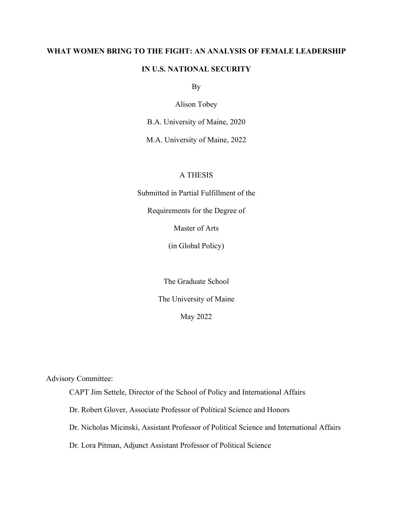## **WHAT WOMEN BRING TO THE FIGHT: AN ANALYSIS OF FEMALE LEADERSHIP**

## **IN U.S. NATIONAL SECURITY**

By

Alison Tobey

B.A. University of Maine, 2020

M.A. University of Maine, 2022

## A THESIS

Submitted in Partial Fulfillment of the

Requirements for the Degree of

Master of Arts

(in Global Policy)

The Graduate School

The University of Maine

May 2022

Advisory Committee:

CAPT Jim Settele, Director of the School of Policy and International Affairs

Dr. Robert Glover, Associate Professor of Political Science and Honors

Dr. Nicholas Micinski, Assistant Professor of Political Science and International Affairs

Dr. Lora Pitman, Adjunct Assistant Professor of Political Science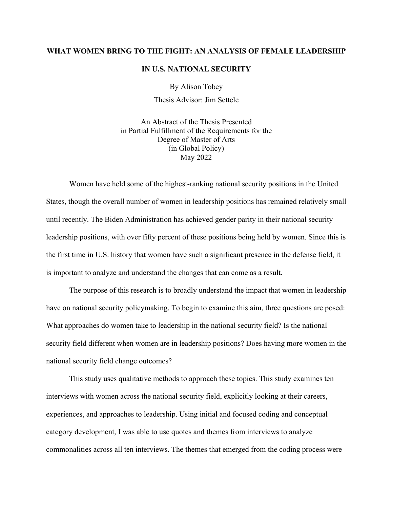#### **WHAT WOMEN BRING TO THE FIGHT: AN ANALYSIS OF FEMALE LEADERSHIP**

#### **IN U.S. NATIONAL SECURITY**

By Alison Tobey

Thesis Advisor: Jim Settele

An Abstract of the Thesis Presented in Partial Fulfillment of the Requirements for the Degree of Master of Arts (in Global Policy) May 2022

Women have held some of the highest-ranking national security positions in the United States, though the overall number of women in leadership positions has remained relatively small until recently. The Biden Administration has achieved gender parity in their national security leadership positions, with over fifty percent of these positions being held by women. Since this is the first time in U.S. history that women have such a significant presence in the defense field, it is important to analyze and understand the changes that can come as a result.

The purpose of this research is to broadly understand the impact that women in leadership have on national security policymaking. To begin to examine this aim, three questions are posed: What approaches do women take to leadership in the national security field? Is the national security field different when women are in leadership positions? Does having more women in the national security field change outcomes?

This study uses qualitative methods to approach these topics. This study examines ten interviews with women across the national security field, explicitly looking at their careers, experiences, and approaches to leadership. Using initial and focused coding and conceptual category development, I was able to use quotes and themes from interviews to analyze commonalities across all ten interviews. The themes that emerged from the coding process were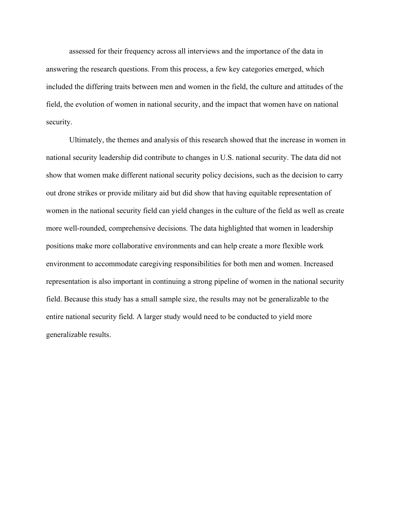assessed for their frequency across all interviews and the importance of the data in answering the research questions. From this process, a few key categories emerged, which included the differing traits between men and women in the field, the culture and attitudes of the field, the evolution of women in national security, and the impact that women have on national security.

Ultimately, the themes and analysis of this research showed that the increase in women in national security leadership did contribute to changes in U.S. national security. The data did not show that women make different national security policy decisions, such as the decision to carry out drone strikes or provide military aid but did show that having equitable representation of women in the national security field can yield changes in the culture of the field as well as create more well-rounded, comprehensive decisions. The data highlighted that women in leadership positions make more collaborative environments and can help create a more flexible work environment to accommodate caregiving responsibilities for both men and women. Increased representation is also important in continuing a strong pipeline of women in the national security field. Because this study has a small sample size, the results may not be generalizable to the entire national security field. A larger study would need to be conducted to yield more generalizable results.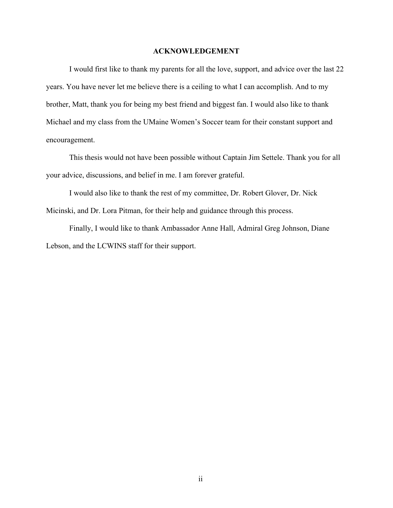#### **ACKNOWLEDGEMENT**

I would first like to thank my parents for all the love, support, and advice over the last 22 years. You have never let me believe there is a ceiling to what I can accomplish. And to my brother, Matt, thank you for being my best friend and biggest fan. I would also like to thank Michael and my class from the UMaine Women's Soccer team for their constant support and encouragement.

This thesis would not have been possible without Captain Jim Settele. Thank you for all your advice, discussions, and belief in me. I am forever grateful.

I would also like to thank the rest of my committee, Dr. Robert Glover, Dr. Nick Micinski, and Dr. Lora Pitman, for their help and guidance through this process.

Finally, I would like to thank Ambassador Anne Hall, Admiral Greg Johnson, Diane Lebson, and the LCWINS staff for their support.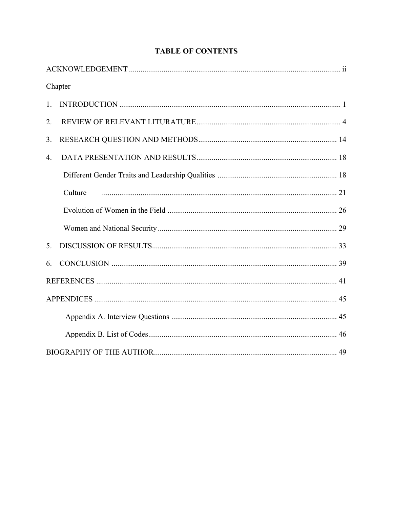|    | Chapter |
|----|---------|
| 1. |         |
| 2. |         |
| 3. |         |
| 4. |         |
|    |         |
|    | Culture |
|    |         |
|    |         |
| 5. |         |
| 6. |         |
|    |         |
|    |         |
|    |         |
|    |         |
|    |         |

## **TABLE OF CONTENTS**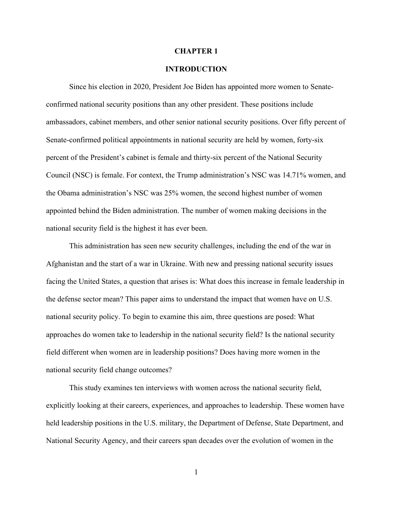#### **CHAPTER 1**

#### **INTRODUCTION**

Since his election in 2020, President Joe Biden has appointed more women to Senateconfirmed national security positions than any other president. These positions include ambassadors, cabinet members, and other senior national security positions. Over fifty percent of Senate-confirmed political appointments in national security are held by women, forty-six percent of the President's cabinet is female and thirty-six percent of the National Security Council (NSC) is female. For context, the Trump administration's NSC was 14.71% women, and the Obama administration's NSC was 25% women, the second highest number of women appointed behind the Biden administration. The number of women making decisions in the national security field is the highest it has ever been.

This administration has seen new security challenges, including the end of the war in Afghanistan and the start of a war in Ukraine. With new and pressing national security issues facing the United States, a question that arises is: What does this increase in female leadership in the defense sector mean? This paper aims to understand the impact that women have on U.S. national security policy. To begin to examine this aim, three questions are posed: What approaches do women take to leadership in the national security field? Is the national security field different when women are in leadership positions? Does having more women in the national security field change outcomes?

This study examines ten interviews with women across the national security field, explicitly looking at their careers, experiences, and approaches to leadership. These women have held leadership positions in the U.S. military, the Department of Defense, State Department, and National Security Agency, and their careers span decades over the evolution of women in the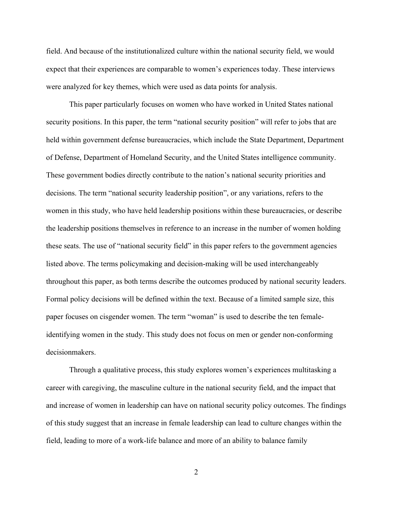field. And because of the institutionalized culture within the national security field, we would expect that their experiences are comparable to women's experiences today. These interviews were analyzed for key themes, which were used as data points for analysis.

This paper particularly focuses on women who have worked in United States national security positions. In this paper, the term "national security position" will refer to jobs that are held within government defense bureaucracies, which include the State Department, Department of Defense, Department of Homeland Security, and the United States intelligence community. These government bodies directly contribute to the nation's national security priorities and decisions. The term "national security leadership position", or any variations, refers to the women in this study, who have held leadership positions within these bureaucracies, or describe the leadership positions themselves in reference to an increase in the number of women holding these seats. The use of "national security field" in this paper refers to the government agencies listed above. The terms policymaking and decision-making will be used interchangeably throughout this paper, as both terms describe the outcomes produced by national security leaders. Formal policy decisions will be defined within the text. Because of a limited sample size, this paper focuses on cisgender women. The term "woman" is used to describe the ten femaleidentifying women in the study. This study does not focus on men or gender non-conforming decisionmakers.

Through a qualitative process, this study explores women's experiences multitasking a career with caregiving, the masculine culture in the national security field, and the impact that and increase of women in leadership can have on national security policy outcomes. The findings of this study suggest that an increase in female leadership can lead to culture changes within the field, leading to more of a work-life balance and more of an ability to balance family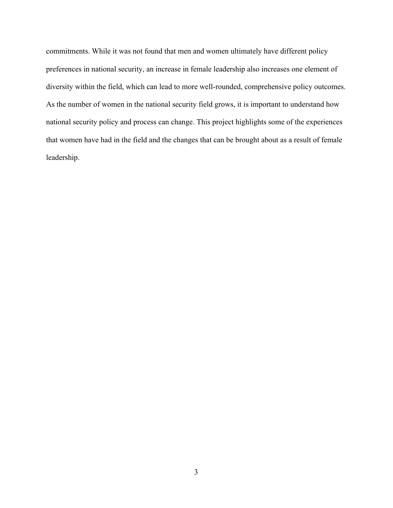commitments. While it was not found that men and women ultimately have different policy preferences in national security, an increase in female leadership also increases one element of diversity within the field, which can lead to more well-rounded, comprehensive policy outcomes. As the number of women in the national security field grows, it is important to understand how national security policy and process can change. This project highlights some of the experiences that women have had in the field and the changes that can be brought about as a result of female leadership.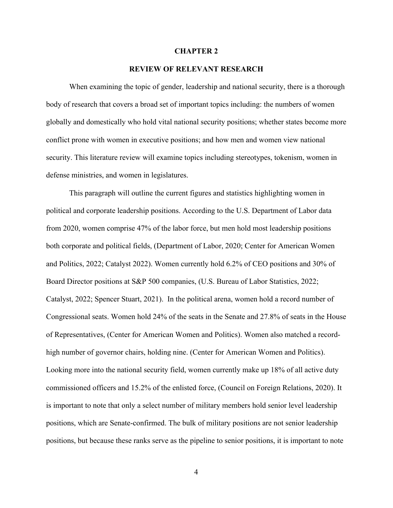#### **CHAPTER 2**

## **REVIEW OF RELEVANT RESEARCH**

When examining the topic of gender, leadership and national security, there is a thorough body of research that covers a broad set of important topics including: the numbers of women globally and domestically who hold vital national security positions; whether states become more conflict prone with women in executive positions; and how men and women view national security. This literature review will examine topics including stereotypes, tokenism, women in defense ministries, and women in legislatures.

This paragraph will outline the current figures and statistics highlighting women in political and corporate leadership positions. According to the U.S. Department of Labor data from 2020, women comprise 47% of the labor force, but men hold most leadership positions both corporate and political fields, (Department of Labor, 2020; Center for American Women and Politics, 2022; Catalyst 2022). Women currently hold 6.2% of CEO positions and 30% of Board Director positions at S&P 500 companies, (U.S. Bureau of Labor Statistics, 2022; Catalyst, 2022; Spencer Stuart, 2021). In the political arena, women hold a record number of Congressional seats. Women hold 24% of the seats in the Senate and 27.8% of seats in the House of Representatives, (Center for American Women and Politics). Women also matched a recordhigh number of governor chairs, holding nine. (Center for American Women and Politics). Looking more into the national security field, women currently make up 18% of all active duty commissioned officers and 15.2% of the enlisted force, (Council on Foreign Relations, 2020). It is important to note that only a select number of military members hold senior level leadership positions, which are Senate-confirmed. The bulk of military positions are not senior leadership positions, but because these ranks serve as the pipeline to senior positions, it is important to note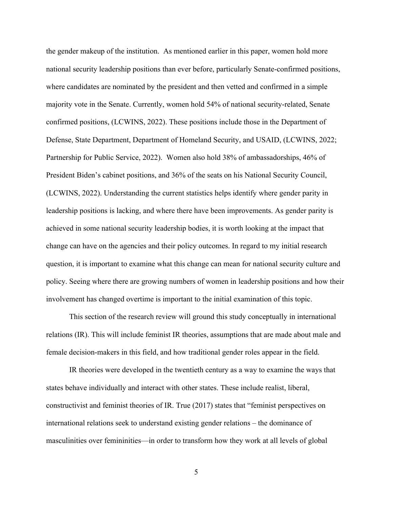the gender makeup of the institution. As mentioned earlier in this paper, women hold more national security leadership positions than ever before, particularly Senate-confirmed positions, where candidates are nominated by the president and then vetted and confirmed in a simple majority vote in the Senate. Currently, women hold 54% of national security-related, Senate confirmed positions, (LCWINS, 2022). These positions include those in the Department of Defense, State Department, Department of Homeland Security, and USAID, (LCWINS, 2022; Partnership for Public Service, 2022). Women also hold 38% of ambassadorships, 46% of President Biden's cabinet positions, and 36% of the seats on his National Security Council, (LCWINS, 2022). Understanding the current statistics helps identify where gender parity in leadership positions is lacking, and where there have been improvements. As gender parity is achieved in some national security leadership bodies, it is worth looking at the impact that change can have on the agencies and their policy outcomes. In regard to my initial research question, it is important to examine what this change can mean for national security culture and policy. Seeing where there are growing numbers of women in leadership positions and how their involvement has changed overtime is important to the initial examination of this topic.

This section of the research review will ground this study conceptually in international relations (IR). This will include feminist IR theories, assumptions that are made about male and female decision-makers in this field, and how traditional gender roles appear in the field.

IR theories were developed in the twentieth century as a way to examine the ways that states behave individually and interact with other states. These include realist, liberal, constructivist and feminist theories of IR. True (2017) states that "feminist perspectives on international relations seek to understand existing gender relations – the dominance of masculinities over femininities—in order to transform how they work at all levels of global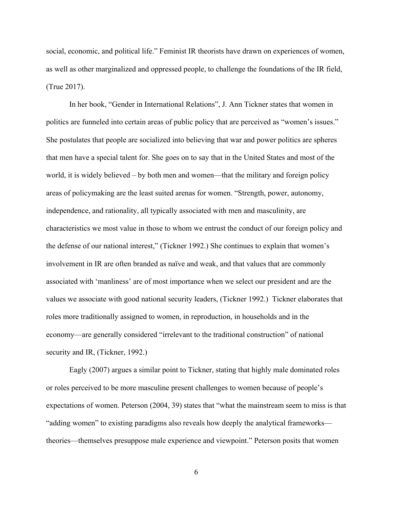social, economic, and political life." Feminist IR theorists have drawn on experiences of women, as well as other marginalized and oppressed people, to challenge the foundations of the IR field, (True 2017).

In her book, "Gender in International Relations", J. Ann Tickner states that women in politics are funneled into certain areas of public policy that are perceived as "women's issues." She postulates that people are socialized into believing that war and power politics are spheres that men have a special talent for. She goes on to say that in the United States and most of the world, it is widely believed – by both men and women—that the military and foreign policy areas of policymaking are the least suited arenas for women. "Strength, power, autonomy, independence, and rationality, all typically associated with men and masculinity, are characteristics we most value in those to whom we entrust the conduct of our foreign policy and the defense of our national interest," (Tickner 1992.) She continues to explain that women's involvement in IR are often branded as naïve and weak, and that values that are commonly associated with 'manliness' are of most importance when we select our president and are the values we associate with good national security leaders, (Tickner 1992.) Tickner elaborates that roles more traditionally assigned to women, in reproduction, in households and in the economy—are generally considered "irrelevant to the traditional construction" of national security and IR, (Tickner, 1992.)

Eagly (2007) argues a similar point to Tickner, stating that highly male dominated roles or roles perceived to be more masculine present challenges to women because of people's expectations of women. Peterson (2004, 39) states that "what the mainstream seem to miss is that "adding women" to existing paradigms also reveals how deeply the analytical frameworks theories—themselves presuppose male experience and viewpoint." Peterson posits that women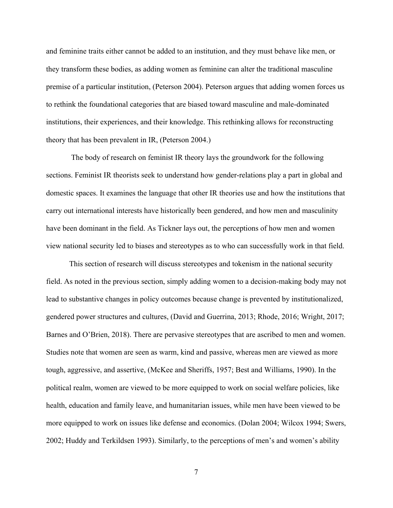and feminine traits either cannot be added to an institution, and they must behave like men, or they transform these bodies, as adding women as feminine can alter the traditional masculine premise of a particular institution, (Peterson 2004). Peterson argues that adding women forces us to rethink the foundational categories that are biased toward masculine and male-dominated institutions, their experiences, and their knowledge. This rethinking allows for reconstructing theory that has been prevalent in IR, (Peterson 2004.)

The body of research on feminist IR theory lays the groundwork for the following sections. Feminist IR theorists seek to understand how gender-relations play a part in global and domestic spaces. It examines the language that other IR theories use and how the institutions that carry out international interests have historically been gendered, and how men and masculinity have been dominant in the field. As Tickner lays out, the perceptions of how men and women view national security led to biases and stereotypes as to who can successfully work in that field.

This section of research will discuss stereotypes and tokenism in the national security field. As noted in the previous section, simply adding women to a decision-making body may not lead to substantive changes in policy outcomes because change is prevented by institutionalized, gendered power structures and cultures, (David and Guerrina, 2013; Rhode, 2016; Wright, 2017; Barnes and O'Brien, 2018). There are pervasive stereotypes that are ascribed to men and women. Studies note that women are seen as warm, kind and passive, whereas men are viewed as more tough, aggressive, and assertive, (McKee and Sheriffs, 1957; Best and Williams, 1990). In the political realm, women are viewed to be more equipped to work on social welfare policies, like health, education and family leave, and humanitarian issues, while men have been viewed to be more equipped to work on issues like defense and economics. (Dolan 2004; Wilcox 1994; Swers, 2002; Huddy and Terkildsen 1993). Similarly, to the perceptions of men's and women's ability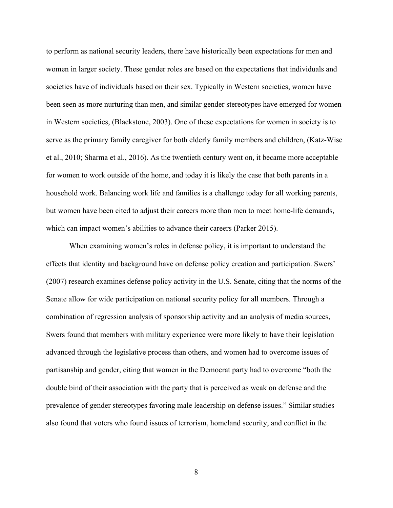to perform as national security leaders, there have historically been expectations for men and women in larger society. These gender roles are based on the expectations that individuals and societies have of individuals based on their sex. Typically in Western societies, women have been seen as more nurturing than men, and similar gender stereotypes have emerged for women in Western societies, (Blackstone, 2003). One of these expectations for women in society is to serve as the primary family caregiver for both elderly family members and children, (Katz-Wise et al., 2010; Sharma et al., 2016). As the twentieth century went on, it became more acceptable for women to work outside of the home, and today it is likely the case that both parents in a household work. Balancing work life and families is a challenge today for all working parents, but women have been cited to adjust their careers more than men to meet home-life demands, which can impact women's abilities to advance their careers (Parker 2015).

When examining women's roles in defense policy, it is important to understand the effects that identity and background have on defense policy creation and participation. Swers' (2007) research examines defense policy activity in the U.S. Senate, citing that the norms of the Senate allow for wide participation on national security policy for all members. Through a combination of regression analysis of sponsorship activity and an analysis of media sources, Swers found that members with military experience were more likely to have their legislation advanced through the legislative process than others, and women had to overcome issues of partisanship and gender, citing that women in the Democrat party had to overcome "both the double bind of their association with the party that is perceived as weak on defense and the prevalence of gender stereotypes favoring male leadership on defense issues." Similar studies also found that voters who found issues of terrorism, homeland security, and conflict in the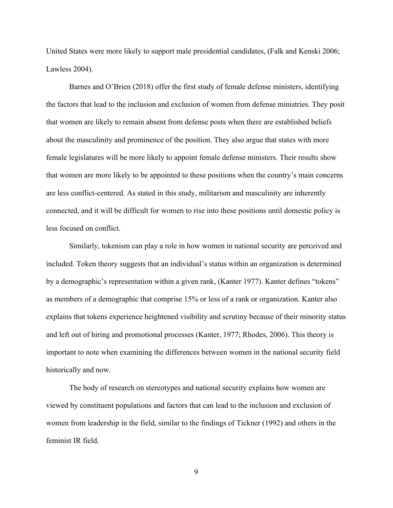United States were more likely to support male presidential candidates, (Falk and Kenski 2006; Lawless 2004).

Barnes and O'Brien (2018) offer the first study of female defense ministers, identifying the factors that lead to the inclusion and exclusion of women from defense ministries. They posit that women are likely to remain absent from defense posts when there are established beliefs about the masculinity and prominence of the position. They also argue that states with more female legislatures will be more likely to appoint female defense ministers. Their results show that women are more likely to be appointed to these positions when the country's main concerns are less conflict-centered. As stated in this study, militarism and masculinity are inherently connected, and it will be difficult for women to rise into these positions until domestic policy is less focused on conflict.

Similarly, tokenism can play a role in how women in national security are perceived and included. Token theory suggests that an individual's status within an organization is determined by a demographic's representation within a given rank, (Kanter 1977). Kanter defines "tokens" as members of a demographic that comprise 15% or less of a rank or organization. Kanter also explains that tokens experience heightened visibility and scrutiny because of their minority status and left out of hiring and promotional processes (Kanter, 1977; Rhodes, 2006). This theory is important to note when examining the differences between women in the national security field historically and now.

The body of research on stereotypes and national security explains how women are viewed by constituent populations and factors that can lead to the inclusion and exclusion of women from leadership in the field, similar to the findings of Tickner (1992) and others in the feminist IR field.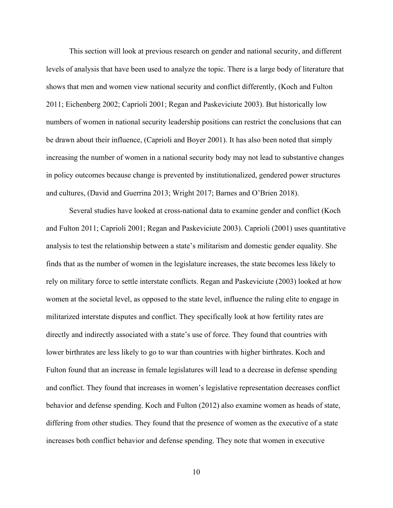This section will look at previous research on gender and national security, and different levels of analysis that have been used to analyze the topic. There is a large body of literature that shows that men and women view national security and conflict differently, (Koch and Fulton 2011; Eichenberg 2002; Caprioli 2001; Regan and Paskeviciute 2003). But historically low numbers of women in national security leadership positions can restrict the conclusions that can be drawn about their influence, (Caprioli and Boyer 2001). It has also been noted that simply increasing the number of women in a national security body may not lead to substantive changes in policy outcomes because change is prevented by institutionalized, gendered power structures and cultures, (David and Guerrina 2013; Wright 2017; Barnes and O'Brien 2018).

Several studies have looked at cross-national data to examine gender and conflict (Koch and Fulton 2011; Caprioli 2001; Regan and Paskeviciute 2003). Caprioli (2001) uses quantitative analysis to test the relationship between a state's militarism and domestic gender equality. She finds that as the number of women in the legislature increases, the state becomes less likely to rely on military force to settle interstate conflicts. Regan and Paskeviciute (2003) looked at how women at the societal level, as opposed to the state level, influence the ruling elite to engage in militarized interstate disputes and conflict. They specifically look at how fertility rates are directly and indirectly associated with a state's use of force. They found that countries with lower birthrates are less likely to go to war than countries with higher birthrates. Koch and Fulton found that an increase in female legislatures will lead to a decrease in defense spending and conflict. They found that increases in women's legislative representation decreases conflict behavior and defense spending. Koch and Fulton (2012) also examine women as heads of state, differing from other studies. They found that the presence of women as the executive of a state increases both conflict behavior and defense spending. They note that women in executive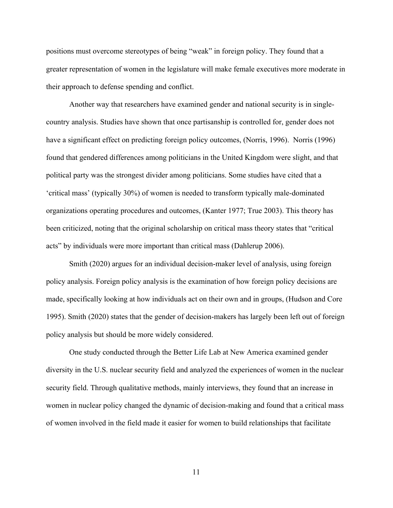positions must overcome stereotypes of being "weak" in foreign policy. They found that a greater representation of women in the legislature will make female executives more moderate in their approach to defense spending and conflict.

Another way that researchers have examined gender and national security is in singlecountry analysis. Studies have shown that once partisanship is controlled for, gender does not have a significant effect on predicting foreign policy outcomes, (Norris, 1996). Norris (1996) found that gendered differences among politicians in the United Kingdom were slight, and that political party was the strongest divider among politicians. Some studies have cited that a 'critical mass' (typically 30%) of women is needed to transform typically male-dominated organizations operating procedures and outcomes, (Kanter 1977; True 2003). This theory has been criticized, noting that the original scholarship on critical mass theory states that "critical acts" by individuals were more important than critical mass (Dahlerup 2006).

Smith (2020) argues for an individual decision-maker level of analysis, using foreign policy analysis. Foreign policy analysis is the examination of how foreign policy decisions are made, specifically looking at how individuals act on their own and in groups, (Hudson and Core 1995). Smith (2020) states that the gender of decision-makers has largely been left out of foreign policy analysis but should be more widely considered.

One study conducted through the Better Life Lab at New America examined gender diversity in the U.S. nuclear security field and analyzed the experiences of women in the nuclear security field. Through qualitative methods, mainly interviews, they found that an increase in women in nuclear policy changed the dynamic of decision-making and found that a critical mass of women involved in the field made it easier for women to build relationships that facilitate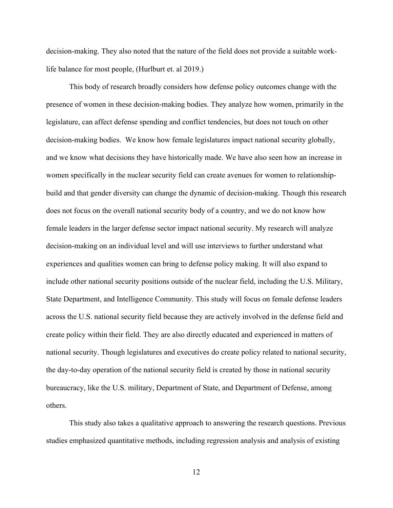decision-making. They also noted that the nature of the field does not provide a suitable worklife balance for most people, (Hurlburt et. al 2019.)

This body of research broadly considers how defense policy outcomes change with the presence of women in these decision-making bodies. They analyze how women, primarily in the legislature, can affect defense spending and conflict tendencies, but does not touch on other decision-making bodies. We know how female legislatures impact national security globally, and we know what decisions they have historically made. We have also seen how an increase in women specifically in the nuclear security field can create avenues for women to relationshipbuild and that gender diversity can change the dynamic of decision-making. Though this research does not focus on the overall national security body of a country, and we do not know how female leaders in the larger defense sector impact national security. My research will analyze decision-making on an individual level and will use interviews to further understand what experiences and qualities women can bring to defense policy making. It will also expand to include other national security positions outside of the nuclear field, including the U.S. Military, State Department, and Intelligence Community. This study will focus on female defense leaders across the U.S. national security field because they are actively involved in the defense field and create policy within their field. They are also directly educated and experienced in matters of national security. Though legislatures and executives do create policy related to national security, the day-to-day operation of the national security field is created by those in national security bureaucracy, like the U.S. military, Department of State, and Department of Defense, among others.

This study also takes a qualitative approach to answering the research questions. Previous studies emphasized quantitative methods, including regression analysis and analysis of existing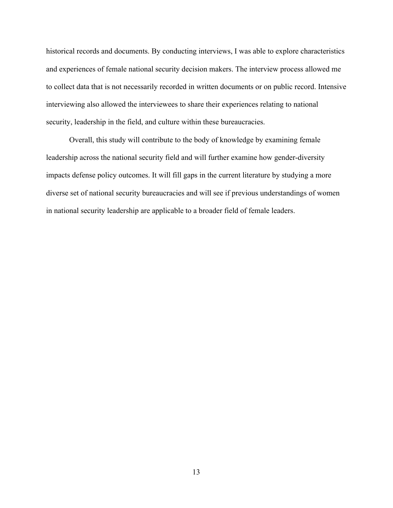historical records and documents. By conducting interviews, I was able to explore characteristics and experiences of female national security decision makers. The interview process allowed me to collect data that is not necessarily recorded in written documents or on public record. Intensive interviewing also allowed the interviewees to share their experiences relating to national security, leadership in the field, and culture within these bureaucracies.

Overall, this study will contribute to the body of knowledge by examining female leadership across the national security field and will further examine how gender-diversity impacts defense policy outcomes. It will fill gaps in the current literature by studying a more diverse set of national security bureaucracies and will see if previous understandings of women in national security leadership are applicable to a broader field of female leaders.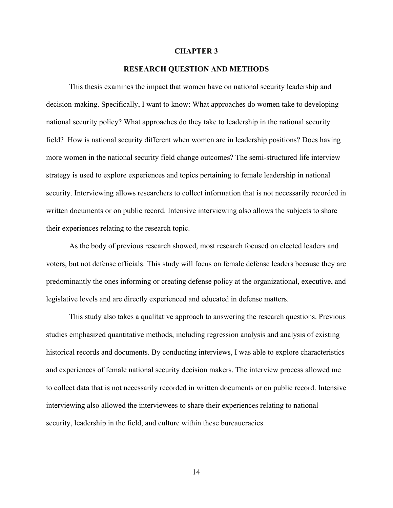#### **CHAPTER 3**

#### **RESEARCH QUESTION AND METHODS**

This thesis examines the impact that women have on national security leadership and decision-making. Specifically, I want to know: What approaches do women take to developing national security policy? What approaches do they take to leadership in the national security field? How is national security different when women are in leadership positions? Does having more women in the national security field change outcomes? The semi-structured life interview strategy is used to explore experiences and topics pertaining to female leadership in national security. Interviewing allows researchers to collect information that is not necessarily recorded in written documents or on public record. Intensive interviewing also allows the subjects to share their experiences relating to the research topic.

As the body of previous research showed, most research focused on elected leaders and voters, but not defense officials. This study will focus on female defense leaders because they are predominantly the ones informing or creating defense policy at the organizational, executive, and legislative levels and are directly experienced and educated in defense matters.

This study also takes a qualitative approach to answering the research questions. Previous studies emphasized quantitative methods, including regression analysis and analysis of existing historical records and documents. By conducting interviews, I was able to explore characteristics and experiences of female national security decision makers. The interview process allowed me to collect data that is not necessarily recorded in written documents or on public record. Intensive interviewing also allowed the interviewees to share their experiences relating to national security, leadership in the field, and culture within these bureaucracies.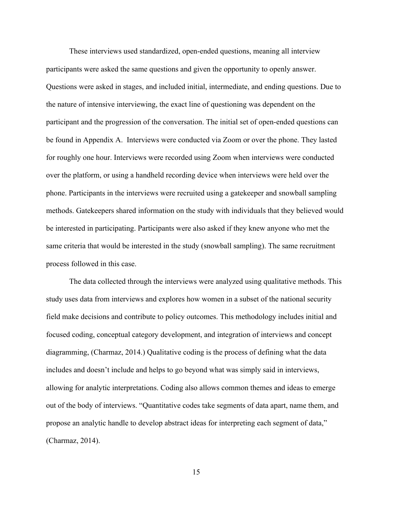These interviews used standardized, open-ended questions, meaning all interview participants were asked the same questions and given the opportunity to openly answer. Questions were asked in stages, and included initial, intermediate, and ending questions. Due to the nature of intensive interviewing, the exact line of questioning was dependent on the participant and the progression of the conversation. The initial set of open-ended questions can be found in Appendix A. Interviews were conducted via Zoom or over the phone. They lasted for roughly one hour. Interviews were recorded using Zoom when interviews were conducted over the platform, or using a handheld recording device when interviews were held over the phone. Participants in the interviews were recruited using a gatekeeper and snowball sampling methods. Gatekeepers shared information on the study with individuals that they believed would be interested in participating. Participants were also asked if they knew anyone who met the same criteria that would be interested in the study (snowball sampling). The same recruitment process followed in this case.

The data collected through the interviews were analyzed using qualitative methods. This study uses data from interviews and explores how women in a subset of the national security field make decisions and contribute to policy outcomes. This methodology includes initial and focused coding, conceptual category development, and integration of interviews and concept diagramming, (Charmaz, 2014.) Qualitative coding is the process of defining what the data includes and doesn't include and helps to go beyond what was simply said in interviews, allowing for analytic interpretations. Coding also allows common themes and ideas to emerge out of the body of interviews. "Quantitative codes take segments of data apart, name them, and propose an analytic handle to develop abstract ideas for interpreting each segment of data," (Charmaz, 2014).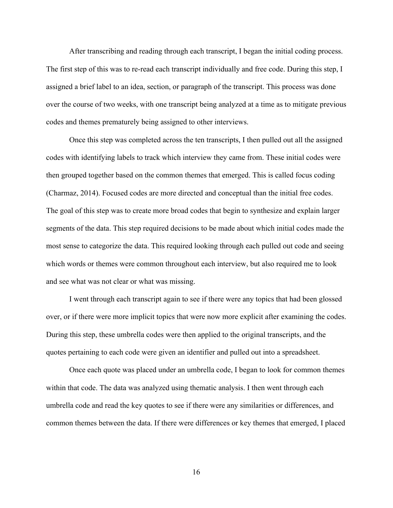After transcribing and reading through each transcript, I began the initial coding process. The first step of this was to re-read each transcript individually and free code. During this step, I assigned a brief label to an idea, section, or paragraph of the transcript. This process was done over the course of two weeks, with one transcript being analyzed at a time as to mitigate previous codes and themes prematurely being assigned to other interviews.

Once this step was completed across the ten transcripts, I then pulled out all the assigned codes with identifying labels to track which interview they came from. These initial codes were then grouped together based on the common themes that emerged. This is called focus coding (Charmaz, 2014). Focused codes are more directed and conceptual than the initial free codes. The goal of this step was to create more broad codes that begin to synthesize and explain larger segments of the data. This step required decisions to be made about which initial codes made the most sense to categorize the data. This required looking through each pulled out code and seeing which words or themes were common throughout each interview, but also required me to look and see what was not clear or what was missing.

I went through each transcript again to see if there were any topics that had been glossed over, or if there were more implicit topics that were now more explicit after examining the codes. During this step, these umbrella codes were then applied to the original transcripts, and the quotes pertaining to each code were given an identifier and pulled out into a spreadsheet.

Once each quote was placed under an umbrella code, I began to look for common themes within that code. The data was analyzed using thematic analysis. I then went through each umbrella code and read the key quotes to see if there were any similarities or differences, and common themes between the data. If there were differences or key themes that emerged, I placed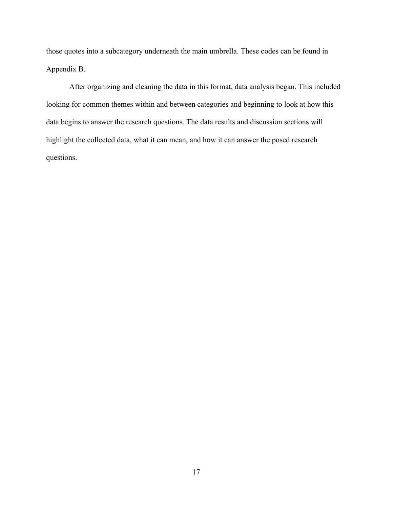those quotes into a subcategory underneath the main umbrella. These codes can be found in Appendix B.

After organizing and cleaning the data in this format, data analysis began. This included looking for common themes within and between categories and beginning to look at how this data begins to answer the research questions. The data results and discussion sections will highlight the collected data, what it can mean, and how it can answer the posed research questions.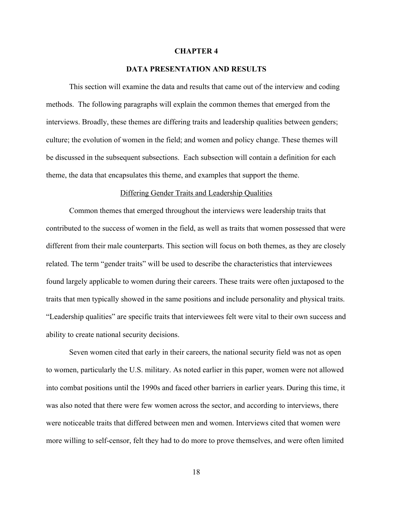#### **CHAPTER 4**

## **DATA PRESENTATION AND RESULTS**

This section will examine the data and results that came out of the interview and coding methods. The following paragraphs will explain the common themes that emerged from the interviews. Broadly, these themes are differing traits and leadership qualities between genders; culture; the evolution of women in the field; and women and policy change. These themes will be discussed in the subsequent subsections. Each subsection will contain a definition for each theme, the data that encapsulates this theme, and examples that support the theme.

#### Differing Gender Traits and Leadership Qualities

Common themes that emerged throughout the interviews were leadership traits that contributed to the success of women in the field, as well as traits that women possessed that were different from their male counterparts. This section will focus on both themes, as they are closely related. The term "gender traits" will be used to describe the characteristics that interviewees found largely applicable to women during their careers. These traits were often juxtaposed to the traits that men typically showed in the same positions and include personality and physical traits. "Leadership qualities" are specific traits that interviewees felt were vital to their own success and ability to create national security decisions.

Seven women cited that early in their careers, the national security field was not as open to women, particularly the U.S. military. As noted earlier in this paper, women were not allowed into combat positions until the 1990s and faced other barriers in earlier years. During this time, it was also noted that there were few women across the sector, and according to interviews, there were noticeable traits that differed between men and women. Interviews cited that women were more willing to self-censor, felt they had to do more to prove themselves, and were often limited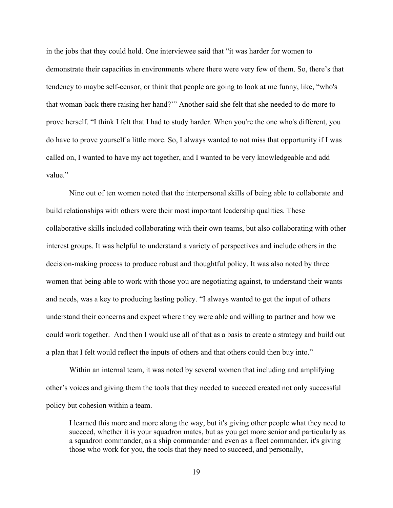in the jobs that they could hold. One interviewee said that "it was harder for women to demonstrate their capacities in environments where there were very few of them. So, there's that tendency to maybe self-censor, or think that people are going to look at me funny, like, "who's that woman back there raising her hand?'" Another said she felt that she needed to do more to prove herself. "I think I felt that I had to study harder. When you're the one who's different, you do have to prove yourself a little more. So, I always wanted to not miss that opportunity if I was called on, I wanted to have my act together, and I wanted to be very knowledgeable and add value"

Nine out of ten women noted that the interpersonal skills of being able to collaborate and build relationships with others were their most important leadership qualities. These collaborative skills included collaborating with their own teams, but also collaborating with other interest groups. It was helpful to understand a variety of perspectives and include others in the decision-making process to produce robust and thoughtful policy. It was also noted by three women that being able to work with those you are negotiating against, to understand their wants and needs, was a key to producing lasting policy. "I always wanted to get the input of others understand their concerns and expect where they were able and willing to partner and how we could work together. And then I would use all of that as a basis to create a strategy and build out a plan that I felt would reflect the inputs of others and that others could then buy into."

Within an internal team, it was noted by several women that including and amplifying other's voices and giving them the tools that they needed to succeed created not only successful policy but cohesion within a team.

I learned this more and more along the way, but it's giving other people what they need to succeed, whether it is your squadron mates, but as you get more senior and particularly as a squadron commander, as a ship commander and even as a fleet commander, it's giving those who work for you, the tools that they need to succeed, and personally,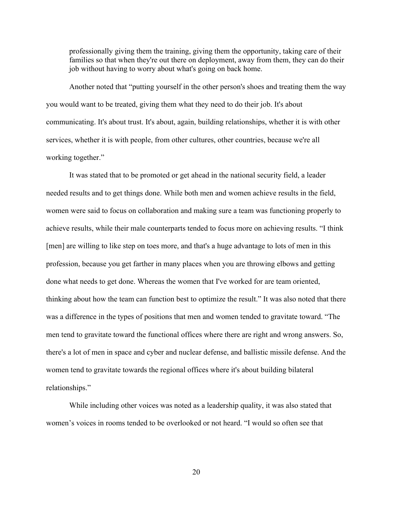professionally giving them the training, giving them the opportunity, taking care of their families so that when they're out there on deployment, away from them, they can do their job without having to worry about what's going on back home.

Another noted that "putting yourself in the other person's shoes and treating them the way you would want to be treated, giving them what they need to do their job. It's about communicating. It's about trust. It's about, again, building relationships, whether it is with other services, whether it is with people, from other cultures, other countries, because we're all working together."

It was stated that to be promoted or get ahead in the national security field, a leader needed results and to get things done. While both men and women achieve results in the field, women were said to focus on collaboration and making sure a team was functioning properly to achieve results, while their male counterparts tended to focus more on achieving results. "I think [men] are willing to like step on toes more, and that's a huge advantage to lots of men in this profession, because you get farther in many places when you are throwing elbows and getting done what needs to get done. Whereas the women that I've worked for are team oriented, thinking about how the team can function best to optimize the result." It was also noted that there was a difference in the types of positions that men and women tended to gravitate toward. "The men tend to gravitate toward the functional offices where there are right and wrong answers. So, there's a lot of men in space and cyber and nuclear defense, and ballistic missile defense. And the women tend to gravitate towards the regional offices where it's about building bilateral relationships."

While including other voices was noted as a leadership quality, it was also stated that women's voices in rooms tended to be overlooked or not heard. "I would so often see that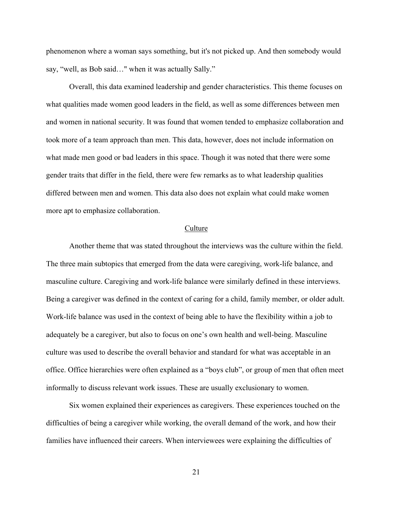phenomenon where a woman says something, but it's not picked up. And then somebody would say, "well, as Bob said…" when it was actually Sally."

Overall, this data examined leadership and gender characteristics. This theme focuses on what qualities made women good leaders in the field, as well as some differences between men and women in national security. It was found that women tended to emphasize collaboration and took more of a team approach than men. This data, however, does not include information on what made men good or bad leaders in this space. Though it was noted that there were some gender traits that differ in the field, there were few remarks as to what leadership qualities differed between men and women. This data also does not explain what could make women more apt to emphasize collaboration.

#### Culture

Another theme that was stated throughout the interviews was the culture within the field. The three main subtopics that emerged from the data were caregiving, work-life balance, and masculine culture. Caregiving and work-life balance were similarly defined in these interviews. Being a caregiver was defined in the context of caring for a child, family member, or older adult. Work-life balance was used in the context of being able to have the flexibility within a job to adequately be a caregiver, but also to focus on one's own health and well-being. Masculine culture was used to describe the overall behavior and standard for what was acceptable in an office. Office hierarchies were often explained as a "boys club", or group of men that often meet informally to discuss relevant work issues. These are usually exclusionary to women.

Six women explained their experiences as caregivers. These experiences touched on the difficulties of being a caregiver while working, the overall demand of the work, and how their families have influenced their careers. When interviewees were explaining the difficulties of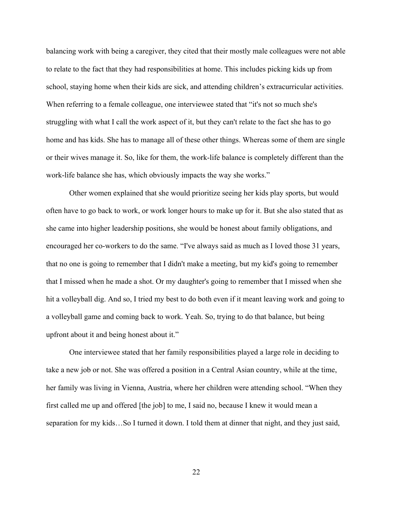balancing work with being a caregiver, they cited that their mostly male colleagues were not able to relate to the fact that they had responsibilities at home. This includes picking kids up from school, staying home when their kids are sick, and attending children's extracurricular activities. When referring to a female colleague, one interviewee stated that "it's not so much she's struggling with what I call the work aspect of it, but they can't relate to the fact she has to go home and has kids. She has to manage all of these other things. Whereas some of them are single or their wives manage it. So, like for them, the work-life balance is completely different than the work-life balance she has, which obviously impacts the way she works."

Other women explained that she would prioritize seeing her kids play sports, but would often have to go back to work, or work longer hours to make up for it. But she also stated that as she came into higher leadership positions, she would be honest about family obligations, and encouraged her co-workers to do the same. "I've always said as much as I loved those 31 years, that no one is going to remember that I didn't make a meeting, but my kid's going to remember that I missed when he made a shot. Or my daughter's going to remember that I missed when she hit a volleyball dig. And so, I tried my best to do both even if it meant leaving work and going to a volleyball game and coming back to work. Yeah. So, trying to do that balance, but being upfront about it and being honest about it."

One interviewee stated that her family responsibilities played a large role in deciding to take a new job or not. She was offered a position in a Central Asian country, while at the time, her family was living in Vienna, Austria, where her children were attending school. "When they first called me up and offered [the job] to me, I said no, because I knew it would mean a separation for my kids…So I turned it down. I told them at dinner that night, and they just said,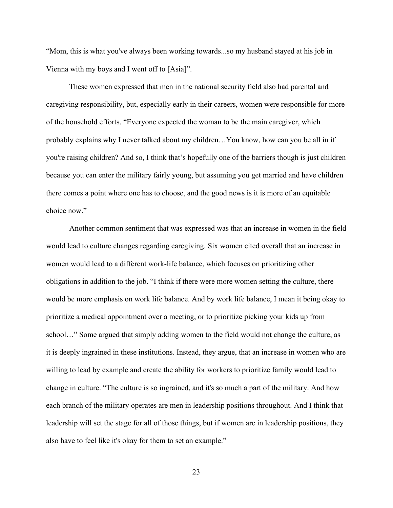"Mom, this is what you've always been working towards...so my husband stayed at his job in Vienna with my boys and I went off to [Asia]".

These women expressed that men in the national security field also had parental and caregiving responsibility, but, especially early in their careers, women were responsible for more of the household efforts. "Everyone expected the woman to be the main caregiver, which probably explains why I never talked about my children…You know, how can you be all in if you're raising children? And so, I think that's hopefully one of the barriers though is just children because you can enter the military fairly young, but assuming you get married and have children there comes a point where one has to choose, and the good news is it is more of an equitable choice now."

Another common sentiment that was expressed was that an increase in women in the field would lead to culture changes regarding caregiving. Six women cited overall that an increase in women would lead to a different work-life balance, which focuses on prioritizing other obligations in addition to the job. "I think if there were more women setting the culture, there would be more emphasis on work life balance. And by work life balance, I mean it being okay to prioritize a medical appointment over a meeting, or to prioritize picking your kids up from school…" Some argued that simply adding women to the field would not change the culture, as it is deeply ingrained in these institutions. Instead, they argue, that an increase in women who are willing to lead by example and create the ability for workers to prioritize family would lead to change in culture. "The culture is so ingrained, and it's so much a part of the military. And how each branch of the military operates are men in leadership positions throughout. And I think that leadership will set the stage for all of those things, but if women are in leadership positions, they also have to feel like it's okay for them to set an example."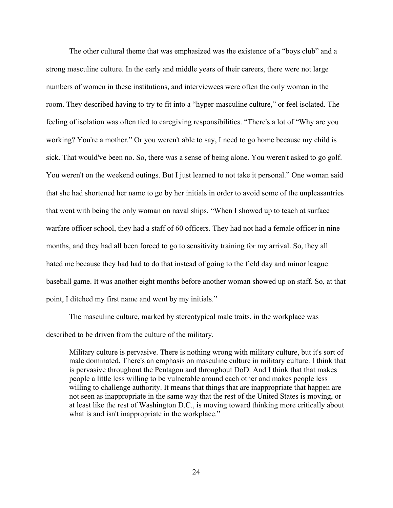The other cultural theme that was emphasized was the existence of a "boys club" and a strong masculine culture. In the early and middle years of their careers, there were not large numbers of women in these institutions, and interviewees were often the only woman in the room. They described having to try to fit into a "hyper-masculine culture," or feel isolated. The feeling of isolation was often tied to caregiving responsibilities. "There's a lot of "Why are you working? You're a mother." Or you weren't able to say, I need to go home because my child is sick. That would've been no. So, there was a sense of being alone. You weren't asked to go golf. You weren't on the weekend outings. But I just learned to not take it personal." One woman said that she had shortened her name to go by her initials in order to avoid some of the unpleasantries that went with being the only woman on naval ships. "When I showed up to teach at surface warfare officer school, they had a staff of 60 officers. They had not had a female officer in nine months, and they had all been forced to go to sensitivity training for my arrival. So, they all hated me because they had had to do that instead of going to the field day and minor league baseball game. It was another eight months before another woman showed up on staff. So, at that point, I ditched my first name and went by my initials."

The masculine culture, marked by stereotypical male traits, in the workplace was described to be driven from the culture of the military.

Military culture is pervasive. There is nothing wrong with military culture, but it's sort of male dominated. There's an emphasis on masculine culture in military culture. I think that is pervasive throughout the Pentagon and throughout DoD. And I think that that makes people a little less willing to be vulnerable around each other and makes people less willing to challenge authority. It means that things that are inappropriate that happen are not seen as inappropriate in the same way that the rest of the United States is moving, or at least like the rest of Washington D.C., is moving toward thinking more critically about what is and isn't inappropriate in the workplace."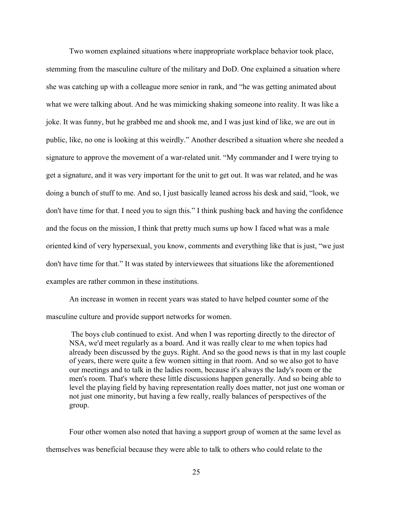Two women explained situations where inappropriate workplace behavior took place, stemming from the masculine culture of the military and DoD. One explained a situation where she was catching up with a colleague more senior in rank, and "he was getting animated about what we were talking about. And he was mimicking shaking someone into reality. It was like a joke. It was funny, but he grabbed me and shook me, and I was just kind of like, we are out in public, like, no one is looking at this weirdly." Another described a situation where she needed a signature to approve the movement of a war-related unit. "My commander and I were trying to get a signature, and it was very important for the unit to get out. It was war related, and he was doing a bunch of stuff to me. And so, I just basically leaned across his desk and said, "look, we don't have time for that. I need you to sign this." I think pushing back and having the confidence and the focus on the mission, I think that pretty much sums up how I faced what was a male oriented kind of very hypersexual, you know, comments and everything like that is just, "we just don't have time for that." It was stated by interviewees that situations like the aforementioned examples are rather common in these institutions.

An increase in women in recent years was stated to have helped counter some of the masculine culture and provide support networks for women.

The boys club continued to exist. And when I was reporting directly to the director of NSA, we'd meet regularly as a board. And it was really clear to me when topics had already been discussed by the guys. Right. And so the good news is that in my last couple of years, there were quite a few women sitting in that room. And so we also got to have our meetings and to talk in the ladies room, because it's always the lady's room or the men's room. That's where these little discussions happen generally. And so being able to level the playing field by having representation really does matter, not just one woman or not just one minority, but having a few really, really balances of perspectives of the group.

Four other women also noted that having a support group of women at the same level as themselves was beneficial because they were able to talk to others who could relate to the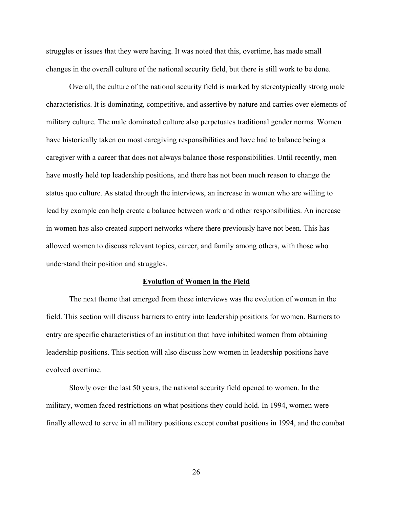struggles or issues that they were having. It was noted that this, overtime, has made small changes in the overall culture of the national security field, but there is still work to be done.

Overall, the culture of the national security field is marked by stereotypically strong male characteristics. It is dominating, competitive, and assertive by nature and carries over elements of military culture. The male dominated culture also perpetuates traditional gender norms. Women have historically taken on most caregiving responsibilities and have had to balance being a caregiver with a career that does not always balance those responsibilities. Until recently, men have mostly held top leadership positions, and there has not been much reason to change the status quo culture. As stated through the interviews, an increase in women who are willing to lead by example can help create a balance between work and other responsibilities. An increase in women has also created support networks where there previously have not been. This has allowed women to discuss relevant topics, career, and family among others, with those who understand their position and struggles.

#### **Evolution of Women in the Field**

The next theme that emerged from these interviews was the evolution of women in the field. This section will discuss barriers to entry into leadership positions for women. Barriers to entry are specific characteristics of an institution that have inhibited women from obtaining leadership positions. This section will also discuss how women in leadership positions have evolved overtime.

Slowly over the last 50 years, the national security field opened to women. In the military, women faced restrictions on what positions they could hold. In 1994, women were finally allowed to serve in all military positions except combat positions in 1994, and the combat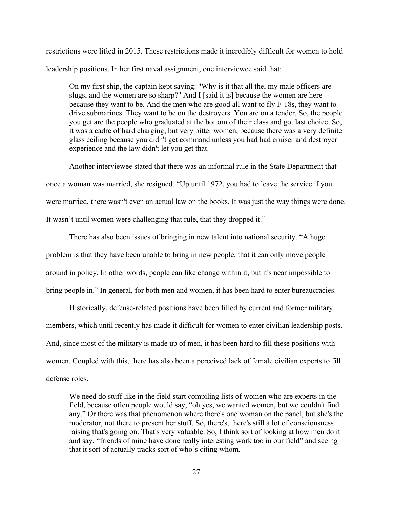restrictions were lifted in 2015. These restrictions made it incredibly difficult for women to hold leadership positions. In her first naval assignment, one interviewee said that:

On my first ship, the captain kept saying: "Why is it that all the, my male officers are slugs, and the women are so sharp?" And I [said it is] because the women are here because they want to be. And the men who are good all want to fly F-18s, they want to drive submarines. They want to be on the destroyers. You are on a tender. So, the people you get are the people who graduated at the bottom of their class and got last choice. So, it was a cadre of hard charging, but very bitter women, because there was a very definite glass ceiling because you didn't get command unless you had had cruiser and destroyer experience and the law didn't let you get that.

Another interviewee stated that there was an informal rule in the State Department that once a woman was married, she resigned. "Up until 1972, you had to leave the service if you were married, there wasn't even an actual law on the books. It was just the way things were done. It wasn't until women were challenging that rule, that they dropped it."

There has also been issues of bringing in new talent into national security. "A huge problem is that they have been unable to bring in new people, that it can only move people around in policy. In other words, people can like change within it, but it's near impossible to bring people in." In general, for both men and women, it has been hard to enter bureaucracies.

Historically, defense-related positions have been filled by current and former military members, which until recently has made it difficult for women to enter civilian leadership posts. And, since most of the military is made up of men, it has been hard to fill these positions with women. Coupled with this, there has also been a perceived lack of female civilian experts to fill defense roles.

We need do stuff like in the field start compiling lists of women who are experts in the field, because often people would say, "oh yes, we wanted women, but we couldn't find any." Or there was that phenomenon where there's one woman on the panel, but she's the moderator, not there to present her stuff. So, there's, there's still a lot of consciousness raising that's going on. That's very valuable. So, I think sort of looking at how men do it and say, "friends of mine have done really interesting work too in our field" and seeing that it sort of actually tracks sort of who's citing whom.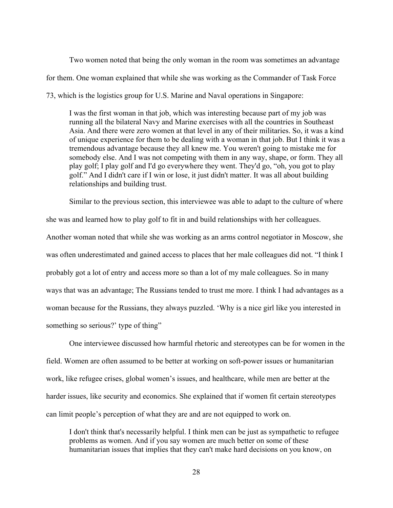Two women noted that being the only woman in the room was sometimes an advantage for them. One woman explained that while she was working as the Commander of Task Force 73, which is the logistics group for U.S. Marine and Naval operations in Singapore:

I was the first woman in that job, which was interesting because part of my job was running all the bilateral Navy and Marine exercises with all the countries in Southeast Asia. And there were zero women at that level in any of their militaries. So, it was a kind of unique experience for them to be dealing with a woman in that job. But I think it was a tremendous advantage because they all knew me. You weren't going to mistake me for somebody else. And I was not competing with them in any way, shape, or form. They all play golf; I play golf and I'd go everywhere they went. They'd go, "oh, you got to play golf." And I didn't care if I win or lose, it just didn't matter. It was all about building relationships and building trust.

Similar to the previous section, this interviewee was able to adapt to the culture of where she was and learned how to play golf to fit in and build relationships with her colleagues. Another woman noted that while she was working as an arms control negotiator in Moscow, she was often underestimated and gained access to places that her male colleagues did not. "I think I probably got a lot of entry and access more so than a lot of my male colleagues. So in many ways that was an advantage; The Russians tended to trust me more. I think I had advantages as a woman because for the Russians, they always puzzled. 'Why is a nice girl like you interested in something so serious?' type of thing"

One interviewee discussed how harmful rhetoric and stereotypes can be for women in the field. Women are often assumed to be better at working on soft-power issues or humanitarian work, like refugee crises, global women's issues, and healthcare, while men are better at the harder issues, like security and economics. She explained that if women fit certain stereotypes can limit people's perception of what they are and are not equipped to work on.

I don't think that's necessarily helpful. I think men can be just as sympathetic to refugee problems as women. And if you say women are much better on some of these humanitarian issues that implies that they can't make hard decisions on you know, on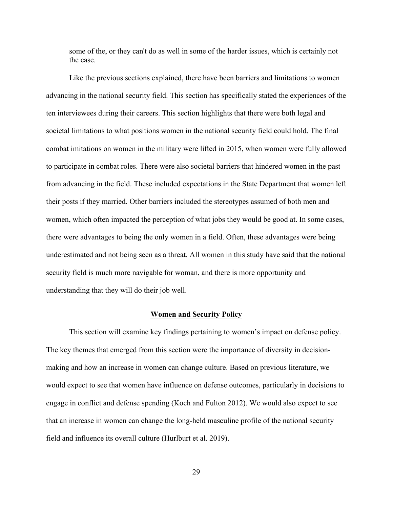some of the, or they can't do as well in some of the harder issues, which is certainly not the case.

Like the previous sections explained, there have been barriers and limitations to women advancing in the national security field. This section has specifically stated the experiences of the ten interviewees during their careers. This section highlights that there were both legal and societal limitations to what positions women in the national security field could hold. The final combat imitations on women in the military were lifted in 2015, when women were fully allowed to participate in combat roles. There were also societal barriers that hindered women in the past from advancing in the field. These included expectations in the State Department that women left their posts if they married. Other barriers included the stereotypes assumed of both men and women, which often impacted the perception of what jobs they would be good at. In some cases, there were advantages to being the only women in a field. Often, these advantages were being underestimated and not being seen as a threat. All women in this study have said that the national security field is much more navigable for woman, and there is more opportunity and understanding that they will do their job well.

#### **Women and Security Policy**

This section will examine key findings pertaining to women's impact on defense policy. The key themes that emerged from this section were the importance of diversity in decisionmaking and how an increase in women can change culture. Based on previous literature, we would expect to see that women have influence on defense outcomes, particularly in decisions to engage in conflict and defense spending (Koch and Fulton 2012). We would also expect to see that an increase in women can change the long-held masculine profile of the national security field and influence its overall culture (Hurlburt et al. 2019).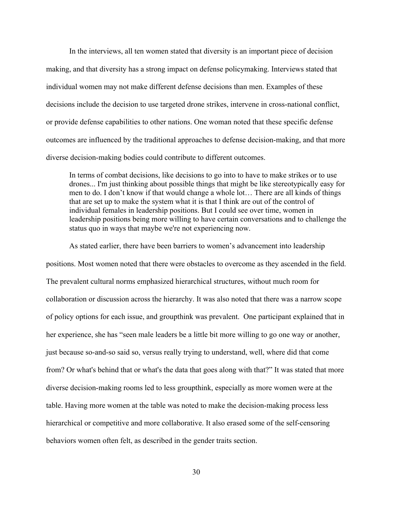In the interviews, all ten women stated that diversity is an important piece of decision making, and that diversity has a strong impact on defense policymaking. Interviews stated that individual women may not make different defense decisions than men. Examples of these decisions include the decision to use targeted drone strikes, intervene in cross-national conflict, or provide defense capabilities to other nations. One woman noted that these specific defense outcomes are influenced by the traditional approaches to defense decision-making, and that more diverse decision-making bodies could contribute to different outcomes.

In terms of combat decisions, like decisions to go into to have to make strikes or to use drones... I'm just thinking about possible things that might be like stereotypically easy for men to do. I don't know if that would change a whole lot… There are all kinds of things that are set up to make the system what it is that I think are out of the control of individual females in leadership positions. But I could see over time, women in leadership positions being more willing to have certain conversations and to challenge the status quo in ways that maybe we're not experiencing now.

As stated earlier, there have been barriers to women's advancement into leadership positions. Most women noted that there were obstacles to overcome as they ascended in the field. The prevalent cultural norms emphasized hierarchical structures, without much room for collaboration or discussion across the hierarchy. It was also noted that there was a narrow scope of policy options for each issue, and groupthink was prevalent. One participant explained that in her experience, she has "seen male leaders be a little bit more willing to go one way or another, just because so-and-so said so, versus really trying to understand, well, where did that come from? Or what's behind that or what's the data that goes along with that?" It was stated that more diverse decision-making rooms led to less groupthink, especially as more women were at the table. Having more women at the table was noted to make the decision-making process less hierarchical or competitive and more collaborative. It also erased some of the self-censoring behaviors women often felt, as described in the gender traits section.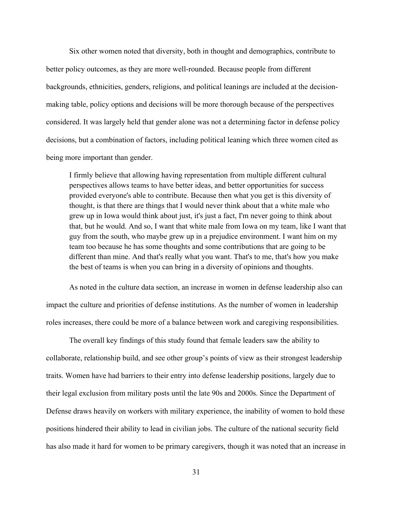Six other women noted that diversity, both in thought and demographics, contribute to better policy outcomes, as they are more well-rounded. Because people from different backgrounds, ethnicities, genders, religions, and political leanings are included at the decisionmaking table, policy options and decisions will be more thorough because of the perspectives considered. It was largely held that gender alone was not a determining factor in defense policy decisions, but a combination of factors, including political leaning which three women cited as being more important than gender.

I firmly believe that allowing having representation from multiple different cultural perspectives allows teams to have better ideas, and better opportunities for success provided everyone's able to contribute. Because then what you get is this diversity of thought, is that there are things that I would never think about that a white male who grew up in Iowa would think about just, it's just a fact, I'm never going to think about that, but he would. And so, I want that white male from Iowa on my team, like I want that guy from the south, who maybe grew up in a prejudice environment. I want him on my team too because he has some thoughts and some contributions that are going to be different than mine. And that's really what you want. That's to me, that's how you make the best of teams is when you can bring in a diversity of opinions and thoughts.

As noted in the culture data section, an increase in women in defense leadership also can impact the culture and priorities of defense institutions. As the number of women in leadership roles increases, there could be more of a balance between work and caregiving responsibilities.

The overall key findings of this study found that female leaders saw the ability to collaborate, relationship build, and see other group's points of view as their strongest leadership traits. Women have had barriers to their entry into defense leadership positions, largely due to their legal exclusion from military posts until the late 90s and 2000s. Since the Department of Defense draws heavily on workers with military experience, the inability of women to hold these positions hindered their ability to lead in civilian jobs. The culture of the national security field has also made it hard for women to be primary caregivers, though it was noted that an increase in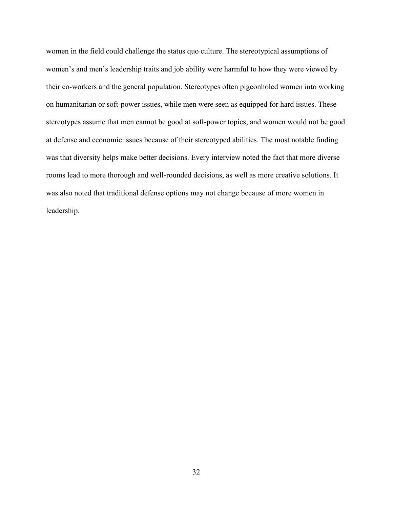women in the field could challenge the status quo culture. The stereotypical assumptions of women's and men's leadership traits and job ability were harmful to how they were viewed by their co-workers and the general population. Stereotypes often pigeonholed women into working on humanitarian or soft-power issues, while men were seen as equipped for hard issues. These stereotypes assume that men cannot be good at soft-power topics, and women would not be good at defense and economic issues because of their stereotyped abilities. The most notable finding was that diversity helps make better decisions. Every interview noted the fact that more diverse rooms lead to more thorough and well-rounded decisions, as well as more creative solutions. It was also noted that traditional defense options may not change because of more women in leadership.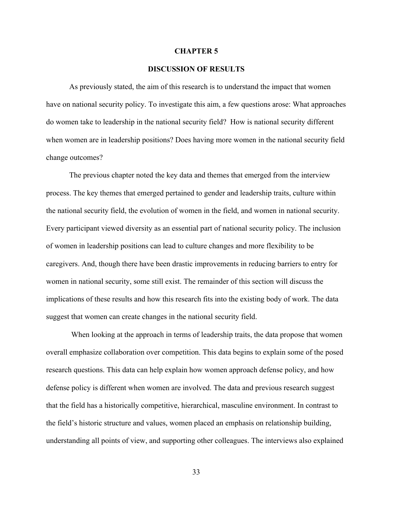#### **CHAPTER 5**

#### **DISCUSSION OF RESULTS**

As previously stated, the aim of this research is to understand the impact that women have on national security policy. To investigate this aim, a few questions arose: What approaches do women take to leadership in the national security field? How is national security different when women are in leadership positions? Does having more women in the national security field change outcomes?

The previous chapter noted the key data and themes that emerged from the interview process. The key themes that emerged pertained to gender and leadership traits, culture within the national security field, the evolution of women in the field, and women in national security. Every participant viewed diversity as an essential part of national security policy. The inclusion of women in leadership positions can lead to culture changes and more flexibility to be caregivers. And, though there have been drastic improvements in reducing barriers to entry for women in national security, some still exist. The remainder of this section will discuss the implications of these results and how this research fits into the existing body of work. The data suggest that women can create changes in the national security field.

When looking at the approach in terms of leadership traits, the data propose that women overall emphasize collaboration over competition. This data begins to explain some of the posed research questions. This data can help explain how women approach defense policy, and how defense policy is different when women are involved. The data and previous research suggest that the field has a historically competitive, hierarchical, masculine environment. In contrast to the field's historic structure and values, women placed an emphasis on relationship building, understanding all points of view, and supporting other colleagues. The interviews also explained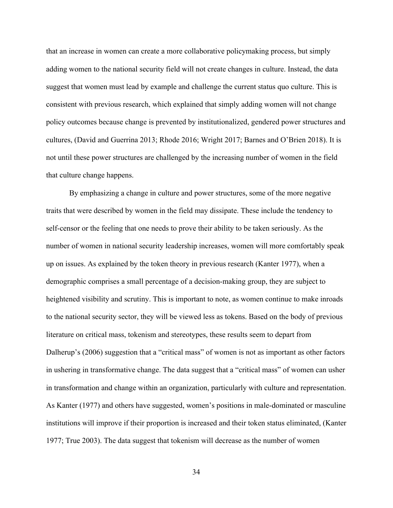that an increase in women can create a more collaborative policymaking process, but simply adding women to the national security field will not create changes in culture. Instead, the data suggest that women must lead by example and challenge the current status quo culture. This is consistent with previous research, which explained that simply adding women will not change policy outcomes because change is prevented by institutionalized, gendered power structures and cultures, (David and Guerrina 2013; Rhode 2016; Wright 2017; Barnes and O'Brien 2018). It is not until these power structures are challenged by the increasing number of women in the field that culture change happens.

By emphasizing a change in culture and power structures, some of the more negative traits that were described by women in the field may dissipate. These include the tendency to self-censor or the feeling that one needs to prove their ability to be taken seriously. As the number of women in national security leadership increases, women will more comfortably speak up on issues. As explained by the token theory in previous research (Kanter 1977), when a demographic comprises a small percentage of a decision-making group, they are subject to heightened visibility and scrutiny. This is important to note, as women continue to make inroads to the national security sector, they will be viewed less as tokens. Based on the body of previous literature on critical mass, tokenism and stereotypes, these results seem to depart from Dalherup's (2006) suggestion that a "critical mass" of women is not as important as other factors in ushering in transformative change. The data suggest that a "critical mass" of women can usher in transformation and change within an organization, particularly with culture and representation. As Kanter (1977) and others have suggested, women's positions in male-dominated or masculine institutions will improve if their proportion is increased and their token status eliminated, (Kanter 1977; True 2003). The data suggest that tokenism will decrease as the number of women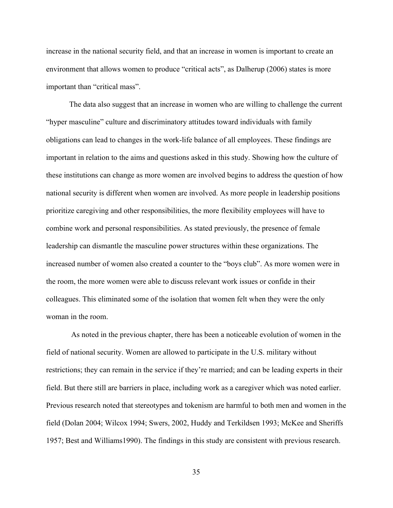increase in the national security field, and that an increase in women is important to create an environment that allows women to produce "critical acts", as Dalherup (2006) states is more important than "critical mass".

The data also suggest that an increase in women who are willing to challenge the current "hyper masculine" culture and discriminatory attitudes toward individuals with family obligations can lead to changes in the work-life balance of all employees. These findings are important in relation to the aims and questions asked in this study. Showing how the culture of these institutions can change as more women are involved begins to address the question of how national security is different when women are involved. As more people in leadership positions prioritize caregiving and other responsibilities, the more flexibility employees will have to combine work and personal responsibilities. As stated previously, the presence of female leadership can dismantle the masculine power structures within these organizations. The increased number of women also created a counter to the "boys club". As more women were in the room, the more women were able to discuss relevant work issues or confide in their colleagues. This eliminated some of the isolation that women felt when they were the only woman in the room.

As noted in the previous chapter, there has been a noticeable evolution of women in the field of national security. Women are allowed to participate in the U.S. military without restrictions; they can remain in the service if they're married; and can be leading experts in their field. But there still are barriers in place, including work as a caregiver which was noted earlier. Previous research noted that stereotypes and tokenism are harmful to both men and women in the field (Dolan 2004; Wilcox 1994; Swers, 2002, Huddy and Terkildsen 1993; McKee and Sheriffs 1957; Best and Williams1990). The findings in this study are consistent with previous research.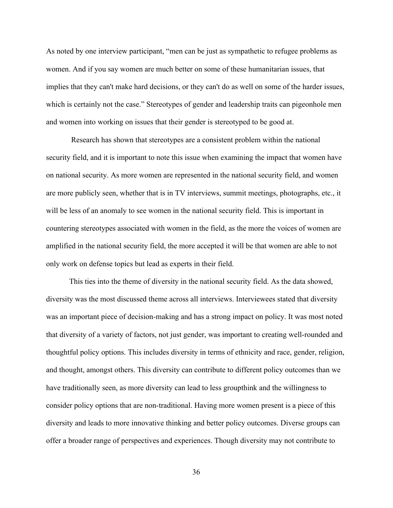As noted by one interview participant, "men can be just as sympathetic to refugee problems as women. And if you say women are much better on some of these humanitarian issues, that implies that they can't make hard decisions, or they can't do as well on some of the harder issues, which is certainly not the case." Stereotypes of gender and leadership traits can pigeonhole men and women into working on issues that their gender is stereotyped to be good at.

Research has shown that stereotypes are a consistent problem within the national security field, and it is important to note this issue when examining the impact that women have on national security. As more women are represented in the national security field, and women are more publicly seen, whether that is in TV interviews, summit meetings, photographs, etc., it will be less of an anomaly to see women in the national security field. This is important in countering stereotypes associated with women in the field, as the more the voices of women are amplified in the national security field, the more accepted it will be that women are able to not only work on defense topics but lead as experts in their field.

This ties into the theme of diversity in the national security field. As the data showed, diversity was the most discussed theme across all interviews. Interviewees stated that diversity was an important piece of decision-making and has a strong impact on policy. It was most noted that diversity of a variety of factors, not just gender, was important to creating well-rounded and thoughtful policy options. This includes diversity in terms of ethnicity and race, gender, religion, and thought, amongst others. This diversity can contribute to different policy outcomes than we have traditionally seen, as more diversity can lead to less groupthink and the willingness to consider policy options that are non-traditional. Having more women present is a piece of this diversity and leads to more innovative thinking and better policy outcomes. Diverse groups can offer a broader range of perspectives and experiences. Though diversity may not contribute to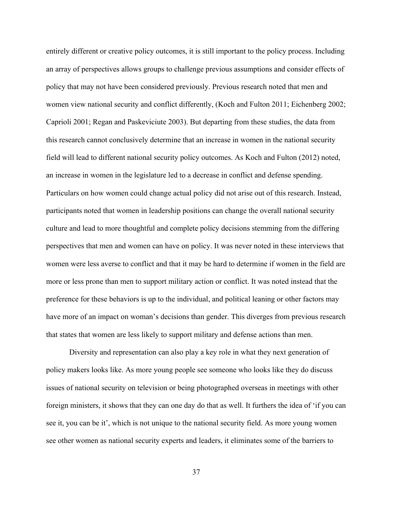entirely different or creative policy outcomes, it is still important to the policy process. Including an array of perspectives allows groups to challenge previous assumptions and consider effects of policy that may not have been considered previously. Previous research noted that men and women view national security and conflict differently, (Koch and Fulton 2011; Eichenberg 2002; Caprioli 2001; Regan and Paskeviciute 2003). But departing from these studies, the data from this research cannot conclusively determine that an increase in women in the national security field will lead to different national security policy outcomes. As Koch and Fulton (2012) noted, an increase in women in the legislature led to a decrease in conflict and defense spending. Particulars on how women could change actual policy did not arise out of this research. Instead, participants noted that women in leadership positions can change the overall national security culture and lead to more thoughtful and complete policy decisions stemming from the differing perspectives that men and women can have on policy. It was never noted in these interviews that women were less averse to conflict and that it may be hard to determine if women in the field are more or less prone than men to support military action or conflict. It was noted instead that the preference for these behaviors is up to the individual, and political leaning or other factors may have more of an impact on woman's decisions than gender. This diverges from previous research that states that women are less likely to support military and defense actions than men.

Diversity and representation can also play a key role in what they next generation of policy makers looks like. As more young people see someone who looks like they do discuss issues of national security on television or being photographed overseas in meetings with other foreign ministers, it shows that they can one day do that as well. It furthers the idea of 'if you can see it, you can be it', which is not unique to the national security field. As more young women see other women as national security experts and leaders, it eliminates some of the barriers to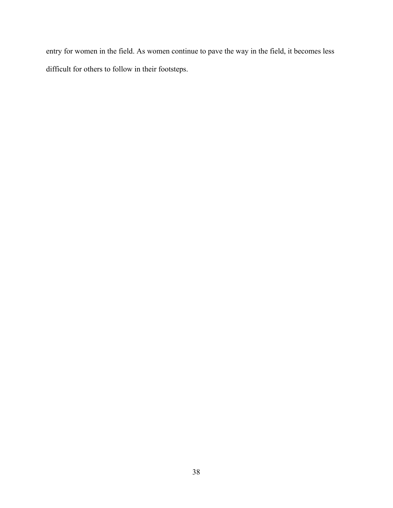entry for women in the field. As women continue to pave the way in the field, it becomes less difficult for others to follow in their footsteps.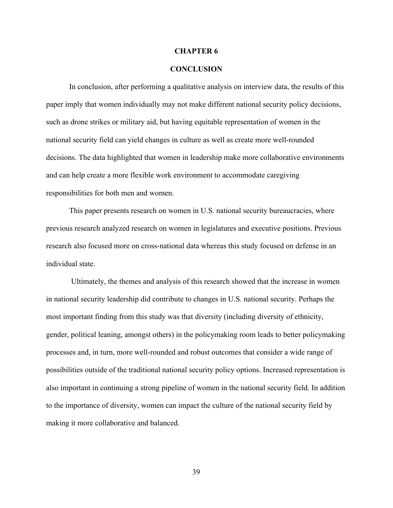#### **CHAPTER 6**

#### **CONCLUSION**

In conclusion, after performing a qualitative analysis on interview data, the results of this paper imply that women individually may not make different national security policy decisions, such as drone strikes or military aid, but having equitable representation of women in the national security field can yield changes in culture as well as create more well-rounded decisions. The data highlighted that women in leadership make more collaborative environments and can help create a more flexible work environment to accommodate caregiving responsibilities for both men and women.

This paper presents research on women in U.S. national security bureaucracies, where previous research analyzed research on women in legislatures and executive positions. Previous research also focused more on cross-national data whereas this study focused on defense in an individual state.

Ultimately, the themes and analysis of this research showed that the increase in women in national security leadership did contribute to changes in U.S. national security. Perhaps the most important finding from this study was that diversity (including diversity of ethnicity, gender, political leaning, amongst others) in the policymaking room leads to better policymaking processes and, in turn, more well-rounded and robust outcomes that consider a wide range of possibilities outside of the traditional national security policy options. Increased representation is also important in continuing a strong pipeline of women in the national security field. In addition to the importance of diversity, women can impact the culture of the national security field by making it more collaborative and balanced.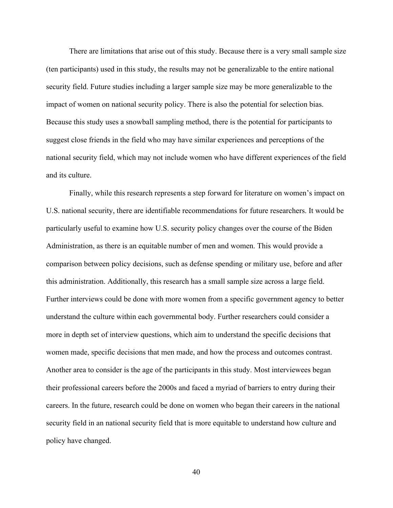There are limitations that arise out of this study. Because there is a very small sample size (ten participants) used in this study, the results may not be generalizable to the entire national security field. Future studies including a larger sample size may be more generalizable to the impact of women on national security policy. There is also the potential for selection bias. Because this study uses a snowball sampling method, there is the potential for participants to suggest close friends in the field who may have similar experiences and perceptions of the national security field, which may not include women who have different experiences of the field and its culture.

Finally, while this research represents a step forward for literature on women's impact on U.S. national security, there are identifiable recommendations for future researchers. It would be particularly useful to examine how U.S. security policy changes over the course of the Biden Administration, as there is an equitable number of men and women. This would provide a comparison between policy decisions, such as defense spending or military use, before and after this administration. Additionally, this research has a small sample size across a large field. Further interviews could be done with more women from a specific government agency to better understand the culture within each governmental body. Further researchers could consider a more in depth set of interview questions, which aim to understand the specific decisions that women made, specific decisions that men made, and how the process and outcomes contrast. Another area to consider is the age of the participants in this study. Most interviewees began their professional careers before the 2000s and faced a myriad of barriers to entry during their careers. In the future, research could be done on women who began their careers in the national security field in an national security field that is more equitable to understand how culture and policy have changed.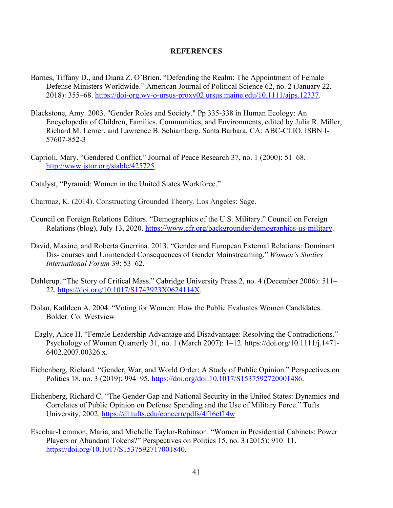## **REFERENCES**

- Barnes, Tiffany D., and Diana Z. O'Brien. "Defending the Realm: The Appointment of Female Defense Ministers Worldwide." American Journal of Political Science 62, no. 2 (January 22, 2018): 355–68. https://doi-org.wv-o-ursus-proxy02.ursus.maine.edu/10.1111/ajps.12337.
- Blackstone, Amy. 2003. "Gender Roles and Society." Pp 335-338 in Human Ecology: An Encyclopedia of Children, Families, Communities, and Environments, edited by Julia R. Miller, Richard M. Lerner, and Lawrence B. Schiamberg. Santa Barbara, CA: ABC-CLIO. ISBN I-57607-852-3
- Caprioli, Mary. "Gendered Conflict." Journal of Peace Research 37, no. 1 (2000): 51–68. http://www.jstor.org/stable/425725.
- Catalyst, "Pyramid: Women in the United States Workforce."
- Charmaz, K. (2014). Constructing Grounded Theory. Los Angeles: Sage.
- Council on Foreign Relations Editors. "Demographics of the U.S. Military." Council on Foreign Relations (blog), July 13, 2020. https://www.cfr.org/backgrounder/demographics-us-military.
- David, Maxine, and Roberta Guerrina. 2013. "Gender and European External Relations: Dominant Dis- courses and Unintended Consequences of Gender Mainstreaming." *Women's Studies International Forum* 39: 53–62.
- Dahlerup. "The Story of Critical Mass." Cabridge University Press 2, no. 4 (December 2006): 511– 22. https://doi.org/10.1017/S1743923X0624114X.
- Dolan, Kathleen A. 2004. "Voting for Women: How the Public Evaluates Women Candidates. Bolder. Co: Westview
- Eagly, Alice H. "Female Leadership Advantage and Disadvantage: Resolving the Contradictions." Psychology of Women Quarterly 31, no. 1 (March 2007): 1–12. https://doi.org/10.1111/j.1471- 6402.2007.00326.x.
- Eichenberg, Richard. "Gender, War, and World Order: A Study of Public Opinion." Perspectives on Politics 18, no. 3 (2019): 994–95. https://doi.org/doi:10.1017/S1537592720001486.
- Eichenberg, Richard C. "The Gender Gap and National Security in the United States: Dynamics and Correlates of Public Opinion on Defense Spending and the Use of Military Force." Tufts University, 2002. https://dl.tufts.edu/concern/pdfs/4f16cf14w
- Escobar-Lemmon, Maria, and Michelle Taylor-Robinson. "Women in Presidential Cabinets: Power Players or Abundant Tokens?" Perspectives on Politics 15, no. 3 (2015): 910–11. https://doi.org/10.1017/S1537592717001840.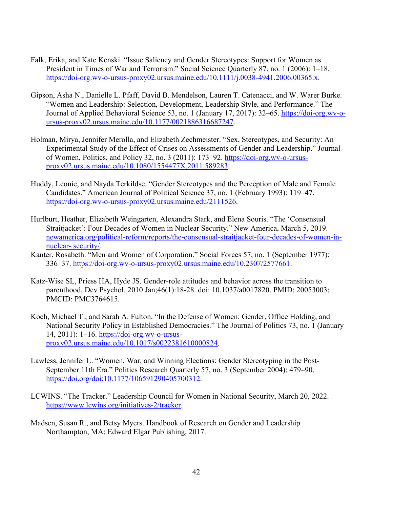- Falk, Erika, and Kate Kenski. "Issue Saliency and Gender Stereotypes: Support for Women as President in Times of War and Terrorism." Social Science Quarterly 87, no. 1 (2006): 1–18. https://doi-org.wv-o-ursus-proxy02.ursus.maine.edu/10.1111/j.0038-4941.2006.00365.x.
- Gipson, Asha N., Danielle L. Pfaff, David B. Mendelson, Lauren T. Catenacci, and W. Warer Burke. "Women and Leadership: Selection, Development, Leadership Style, and Performance." The Journal of Applied Behavioral Science 53, no. 1 (January 17, 2017): 32–65. https://doi-org.wv-oursus-proxy02.ursus.maine.edu/10.1177/0021886316687247.
- Holman, Mirya, Jennifer Merolla, and Elizabeth Zechmeister. "Sex, Stereotypes, and Security: An Experimental Study of the Effect of Crises on Assessments of Gender and Leadership." Journal of Women, Politics, and Policy 32, no. 3 (2011): 173–92. https://doi-org.wv-o-ursusproxy02.ursus.maine.edu/10.1080/1554477X.2011.589283.
- Huddy, Leonie, and Nayda Terkildse. "Gender Stereotypes and the Perception of Male and Female Candidates." American Journal of Political Science 37, no. 1 (February 1993): 119–47. https://doi-org.wv-o-ursus-proxy02.ursus.maine.edu/2111526.
- Hurlburt, Heather, Elizabeth Weingarten, Alexandra Stark, and Elena Souris. "The 'Consensual Straitjacket': Four Decades of Women in Nuclear Security." New America, March 5, 2019. newamerica.org/political-reform/reports/the-consensual-straitjacket-four-decades-of-women-innuclear- security/.
- Kanter, Rosabeth. "Men and Women of Corporation." Social Forces 57, no. 1 (September 1977): 336–37. https://doi-org.wv-o-ursus-proxy02.ursus.maine.edu/10.2307/2577661.
- Katz-Wise SL, Priess HA, Hyde JS. Gender-role attitudes and behavior across the transition to parenthood. Dev Psychol. 2010 Jan;46(1):18-28. doi: 10.1037/a0017820. PMID: 20053003; PMCID: PMC3764615.
- Koch, Michael T., and Sarah A. Fulton. "In the Defense of Women: Gender, Office Holding, and National Security Policy in Established Democracies." The Journal of Politics 73, no. 1 (January 14, 2011): 1–16. https://doi-org.wv-o-ursusproxy02.ursus.maine.edu/10.1017/s0022381610000824.
- Lawless, Jennifer L. "Women, War, and Winning Elections: Gender Stereotyping in the Post-September 11th Era." Politics Research Quarterly 57, no. 3 (September 2004): 479–90. https://doi.org/doi:10.1177/106591290405700312.
- LCWINS. "The Tracker." Leadership Council for Women in National Security, March 20, 2022. https://www.lcwins.org/initiatives-2/tracker.
- Madsen, Susan R., and Betsy Myers. Handbook of Research on Gender and Leadership. Northampton, MA: Edward Elgar Publishing, 2017.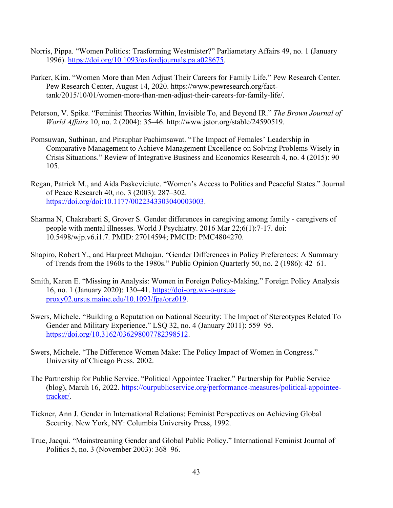- Norris, Pippa. "Women Politics: Trasforming Westmister?" Parliametary Affairs 49, no. 1 (January 1996). https://doi.org/10.1093/oxfordjournals.pa.a028675.
- Parker, Kim. "Women More than Men Adjust Their Careers for Family Life." Pew Research Center. Pew Research Center, August 14, 2020. https://www.pewresearch.org/facttank/2015/10/01/women-more-than-men-adjust-their-careers-for-family-life/.
- Peterson, V. Spike. "Feminist Theories Within, Invisible To, and Beyond IR." *The Brown Journal of World Affairs* 10, no. 2 (2004): 35–46. http://www.jstor.org/stable/24590519.
- Pomsuwan, Suthinan, and Pitsuphar Pachimsawat. "The Impact of Females' Leadership in Comparative Management to Achieve Management Excellence on Solving Problems Wisely in Crisis Situations." Review of Integrative Business and Economics Research 4, no. 4 (2015): 90– 105.
- Regan, Patrick M., and Aida Paskeviciute. "Women's Access to Politics and Peaceful States." Journal of Peace Research 40, no. 3 (2003): 287–302. https://doi.org/doi:10.1177/0022343303040003003.
- Sharma N, Chakrabarti S, Grover S. Gender differences in caregiving among family caregivers of people with mental illnesses. World J Psychiatry. 2016 Mar 22;6(1):7-17. doi: 10.5498/wjp.v6.i1.7. PMID: 27014594; PMCID: PMC4804270.
- Shapiro, Robert Y., and Harpreet Mahajan. "Gender Differences in Policy Preferences: A Summary of Trends from the 1960s to the 1980s." Public Opinion Quarterly 50, no. 2 (1986): 42–61.
- Smith, Karen E. "Missing in Analysis: Women in Foreign Policy-Making." Foreign Policy Analysis 16, no. 1 (January 2020): 130–41. https://doi-org.wv-o-ursusproxy02.ursus.maine.edu/10.1093/fpa/orz019.
- Swers, Michele. "Building a Reputation on National Security: The Impact of Stereotypes Related To Gender and Military Experience." LSQ 32, no. 4 (January 2011): 559–95. https://doi.org/10.3162/036298007782398512.
- Swers, Michele. "The Difference Women Make: The Policy Impact of Women in Congress." University of Chicago Press. 2002.
- The Partnership for Public Service. "Political Appointee Tracker." Partnership for Public Service (blog), March 16, 2022. https://ourpublicservice.org/performance-measures/political-appointeetracker/.
- Tickner, Ann J. Gender in International Relations: Feminist Perspectives on Achieving Global Security. New York, NY: Columbia University Press, 1992.
- True, Jacqui. "Mainstreaming Gender and Global Public Policy." International Feminist Journal of Politics 5, no. 3 (November 2003): 368–96.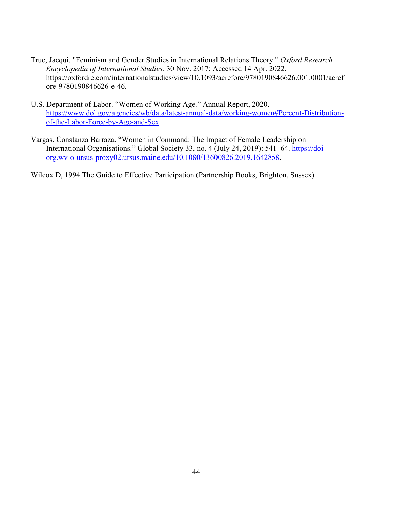- True, Jacqui. "Feminism and Gender Studies in International Relations Theory." *Oxford Research Encyclopedia of International Studies.* 30 Nov. 2017; Accessed 14 Apr. 2022. https://oxfordre.com/internationalstudies/view/10.1093/acrefore/9780190846626.001.0001/acref ore-9780190846626-e-46.
- U.S. Department of Labor. "Women of Working Age." Annual Report, 2020. https://www.dol.gov/agencies/wb/data/latest-annual-data/working-women#Percent-Distributionof-the-Labor-Force-by-Age-and-Sex.
- Vargas, Constanza Barraza. "Women in Command: The Impact of Female Leadership on International Organisations." Global Society 33, no. 4 (July 24, 2019): 541–64. https://doiorg.wv-o-ursus-proxy02.ursus.maine.edu/10.1080/13600826.2019.1642858.

Wilcox D, 1994 The Guide to Effective Participation (Partnership Books, Brighton, Sussex)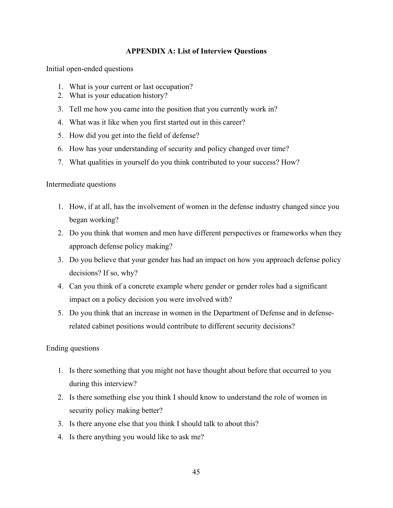## **APPENDIX A: List of Interview Questions**

Initial open-ended questions

- 1. What is your current or last occupation?
- 2. What is your education history?
- 3. Tell me how you came into the position that you currently work in?
- 4. What was it like when you first started out in this career?
- 5. How did you get into the field of defense?
- 6. How has your understanding of security and policy changed over time?
- 7. What qualities in yourself do you think contributed to your success? How?

Intermediate questions

- 1. How, if at all, has the involvement of women in the defense industry changed since you began working?
- 2. Do you think that women and men have different perspectives or frameworks when they approach defense policy making?
- 3. Do you believe that your gender has had an impact on how you approach defense policy decisions? If so, why?
- 4. Can you think of a concrete example where gender or gender roles had a significant impact on a policy decision you were involved with?
- 5. Do you think that an increase in women in the Department of Defense and in defenserelated cabinet positions would contribute to different security decisions?

## Ending questions

- 1. Is there something that you might not have thought about before that occurred to you during this interview?
- 2. Is there something else you think I should know to understand the role of women in security policy making better?
- 3. Is there anyone else that you think I should talk to about this?
- 4. Is there anything you would like to ask me?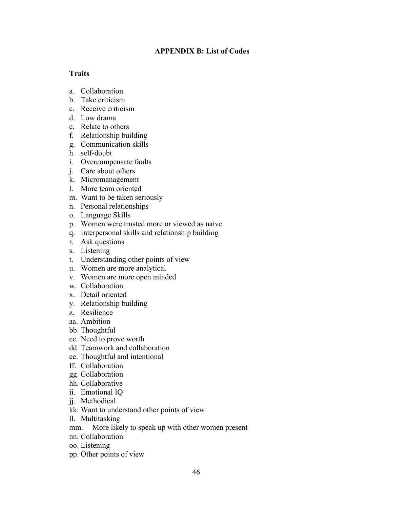## **APPENDIX B: List of Codes**

## **Traits**

- a. Collaboration
- b. Take criticism
- c. Receive criticism
- d. Low drama
- e. Relate to others
- f. Relationship building
- g. Communication skills
- h. self-doubt
- i. Overcompensate faults
- j. Care about others
- k. Micromanagement
- l. More team oriented
- m. Want to be taken seriously
- n. Personal relationships
- o. Language Skills
- p. Women were trusted more or viewed as naive
- q. Interpersonal skills and relationship building
- r. Ask questions
- s. Listening
- t. Understanding other points of view
- u. Women are more analytical
- v. Women are more open minded
- w. Collaboration
- x. Detail oriented
- y. Relationship building
- z. Resilience
- aa. Ambition
- bb. Thoughtful
- cc. Need to prove worth
- dd. Teamwork and collaboration
- ee. Thoughtful and intentional
- ff. Collaboration
- gg. Collaboration
- hh. Collaborative
- ii. Emotional IQ
- jj. Methodical
- kk. Want to understand other points of view
- ll. Multitasking
- mm. More likely to speak up with other women present
- nn. Collaboration
- oo. Listening
- pp. Other points of view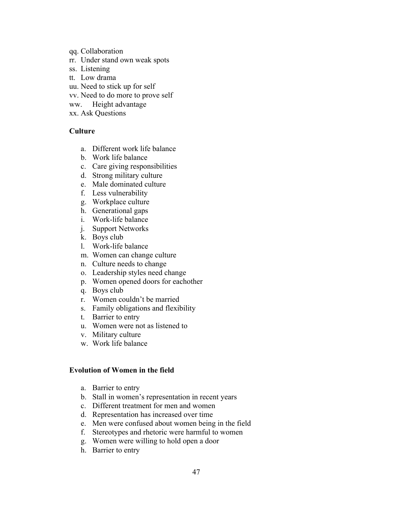- qq. Collaboration
- rr. Under stand own weak spots
- ss. Listening
- tt. Low drama
- uu. Need to stick up for self
- vv. Need to do more to prove self
- ww. Height advantage
- xx. Ask Questions

## **Culture**

- a. Different work life balance
- b. Work life balance
- c. Care giving responsibilities
- d. Strong military culture
- e. Male dominated culture
- f. Less vulnerability
- g. Workplace culture
- h. Generational gaps
- i. Work-life balance
- j. Support Networks
- k. Boys club
- l. Work-life balance
- m. Women can change culture
- n. Culture needs to change
- o. Leadership styles need change
- p. Women opened doors for eachother
- q. Boys club
- r. Women couldn't be married
- s. Family obligations and flexibility
- t. Barrier to entry
- u. Women were not as listened to
- v. Military culture
- w. Work life balance

## **Evolution of Women in the field**

- a. Barrier to entry
- b. Stall in women's representation in recent years
- c. Different treatment for men and women
- d. Representation has increased over time
- e. Men were confused about women being in the field
- f. Stereotypes and rhetoric were harmful to women
- g. Women were willing to hold open a door
- h. Barrier to entry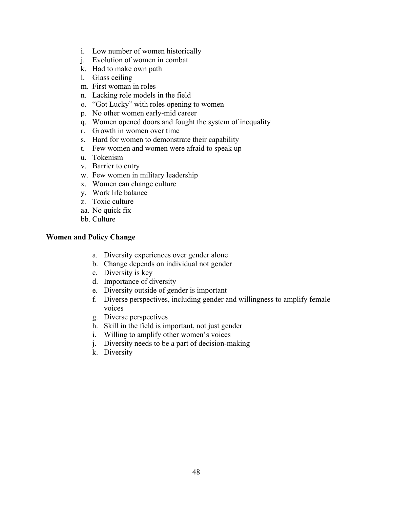- i. Low number of women historically
- j. Evolution of women in combat
- k. Had to make own path
- l. Glass ceiling
- m. First woman in roles
- n. Lacking role models in the field
- o. "Got Lucky" with roles opening to women
- p. No other women early-mid career
- q. Women opened doors and fought the system of inequality
- r. Growth in women over time
- s. Hard for women to demonstrate their capability
- t. Few women and women were afraid to speak up
- u. Tokenism
- v. Barrier to entry
- w. Few women in military leadership
- x. Women can change culture
- y. Work life balance
- z. Toxic culture
- aa. No quick fix
- bb. Culture

## **Women and Policy Change**

- a. Diversity experiences over gender alone
- b. Change depends on individual not gender
- c. Diversity is key
- d. Importance of diversity
- e. Diversity outside of gender is important
- f. Diverse perspectives, including gender and willingness to amplify female voices
- g. Diverse perspectives
- h. Skill in the field is important, not just gender
- i. Willing to amplify other women's voices
- j. Diversity needs to be a part of decision-making
- k. Diversity